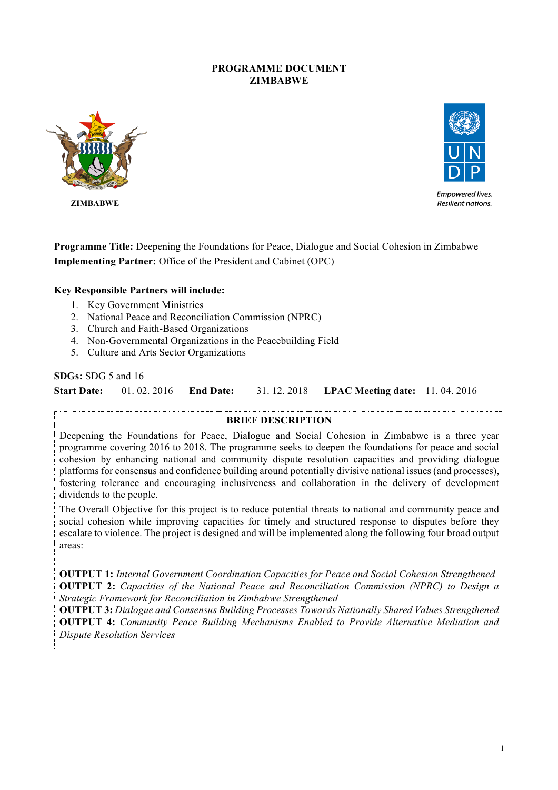### **PROGRAMME DOCUMENT ZIMBABWE**



 **ZIMBABWE**



**Empowered lives.** Resilient nations.

**Programme Title:** Deepening the Foundations for Peace, Dialogue and Social Cohesion in Zimbabwe **Implementing Partner:** Office of the President and Cabinet (OPC)

#### **Key Responsible Partners will include:**

- 1. Key Government Ministries
- 2. National Peace and Reconciliation Commission (NPRC)
- 3. Church and Faith-Based Organizations
- 4. Non-Governmental Organizations in the Peacebuilding Field
- 5. Culture and Arts Sector Organizations

#### **SDGs:** SDG 5 and 16

**Start Date:** 01. 02. 2016 **End Date:** 31. 12. 2018 **LPAC Meeting date:** 11. 04. 2016

#### **BRIEF DESCRIPTION**

Deepening the Foundations for Peace, Dialogue and Social Cohesion in Zimbabwe is a three year programme covering 2016 to 2018. The programme seeks to deepen the foundations for peace and social cohesion by enhancing national and community dispute resolution capacities and providing dialogue platforms for consensus and confidence building around potentially divisive national issues (and processes), fostering tolerance and encouraging inclusiveness and collaboration in the delivery of development dividends to the people.

The Overall Objective for this project is to reduce potential threats to national and community peace and social cohesion while improving capacities for timely and structured response to disputes before they escalate to violence. The project is designed and will be implemented along the following four broad output areas:

**OUTPUT 1:** *Internal Government Coordination Capacities for Peace and Social Cohesion Strengthened* **OUTPUT 2:** *Capacities of the National Peace and Reconciliation Commission (NPRC) to Design a Strategic Framework for Reconciliation in Zimbabwe Strengthened*

**OUTPUT 3:** *Dialogue and Consensus Building Processes Towards Nationally Shared Values Strengthened* **OUTPUT 4:** *Community Peace Building Mechanisms Enabled to Provide Alternative Mediation and Dispute Resolution Services*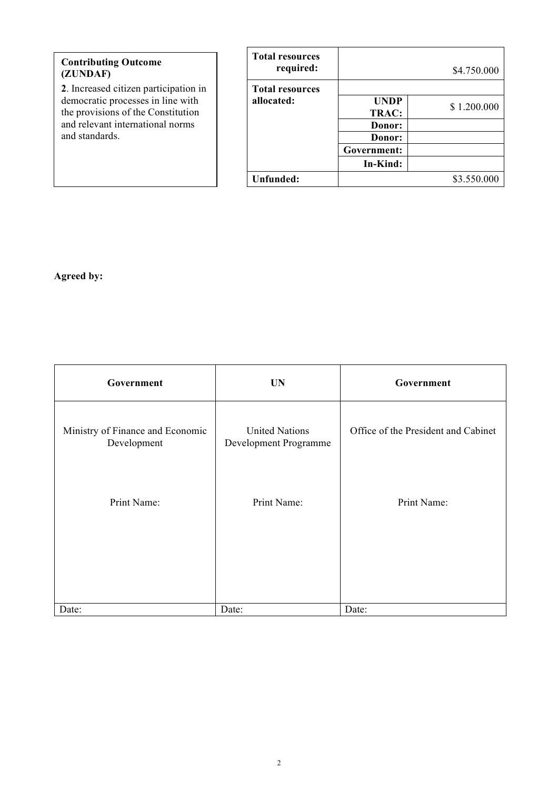# **Contributing Outcome (ZUNDAF) 2**. Increased citizen participation in democratic processes in line with the provisions of the Constitution

and relevant international norms

| <b>Total resources</b> |             |             |
|------------------------|-------------|-------------|
| required:              |             | \$4.750.000 |
| <b>Total resources</b> |             |             |
| allocated:             | <b>UNDP</b> | \$1.200.000 |
|                        | TRAC:       |             |
|                        | Donor:      |             |
|                        | Donor:      |             |
|                        | Government: |             |
|                        | In-Kind:    |             |
| Unfunded:              |             | \$3.550.000 |

# **Agreed by:**

and standards.

| Government                                      | <b>UN</b>                                      | Government                          |
|-------------------------------------------------|------------------------------------------------|-------------------------------------|
| Ministry of Finance and Economic<br>Development | <b>United Nations</b><br>Development Programme | Office of the President and Cabinet |
| Print Name:                                     | Print Name:                                    | Print Name:                         |
| Date:                                           | Date:                                          | Date:                               |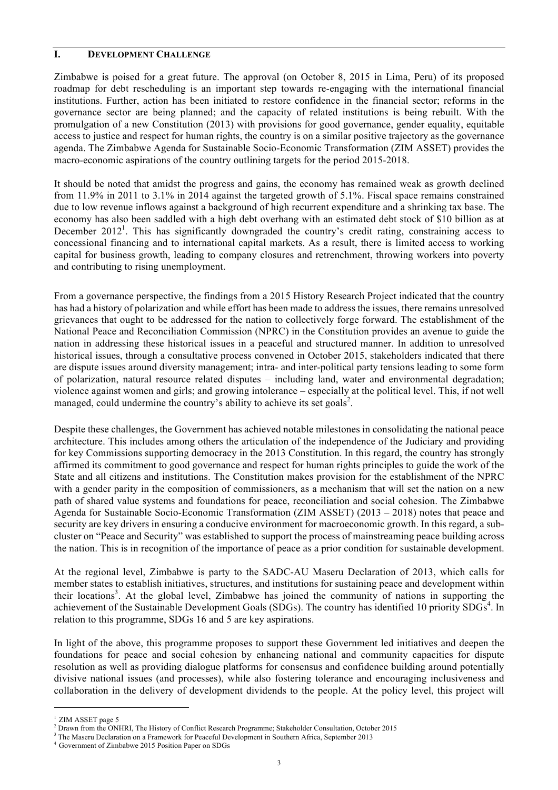#### **I. DEVELOPMENT CHALLENGE**

Zimbabwe is poised for a great future. The approval (on October 8, 2015 in Lima, Peru) of its proposed roadmap for debt rescheduling is an important step towards re-engaging with the international financial institutions. Further, action has been initiated to restore confidence in the financial sector; reforms in the governance sector are being planned; and the capacity of related institutions is being rebuilt. With the promulgation of a new Constitution (2013) with provisions for good governance, gender equality, equitable access to justice and respect for human rights, the country is on a similar positive trajectory as the governance agenda. The Zimbabwe Agenda for Sustainable Socio-Economic Transformation (ZIM ASSET) provides the macro-economic aspirations of the country outlining targets for the period 2015-2018.

It should be noted that amidst the progress and gains, the economy has remained weak as growth declined from 11.9% in 2011 to 3.1% in 2014 against the targeted growth of 5.1%. Fiscal space remains constrained due to low revenue inflows against a background of high recurrent expenditure and a shrinking tax base. The economy has also been saddled with a high debt overhang with an estimated debt stock of \$10 billion as at December  $2012<sup>1</sup>$ . This has significantly downgraded the country's credit rating, constraining access to concessional financing and to international capital markets. As a result, there is limited access to working capital for business growth, leading to company closures and retrenchment, throwing workers into poverty and contributing to rising unemployment.

From a governance perspective, the findings from a 2015 History Research Project indicated that the country has had a history of polarization and while effort has been made to address the issues, there remains unresolved grievances that ought to be addressed for the nation to collectively forge forward. The establishment of the National Peace and Reconciliation Commission (NPRC) in the Constitution provides an avenue to guide the nation in addressing these historical issues in a peaceful and structured manner. In addition to unresolved historical issues, through a consultative process convened in October 2015, stakeholders indicated that there are dispute issues around diversity management; intra- and inter-political party tensions leading to some form of polarization, natural resource related disputes – including land, water and environmental degradation; violence against women and girls; and growing intolerance – especially at the political level. This, if not well managed, could undermine the country's ability to achieve its set goals<sup>2</sup>.

Despite these challenges, the Government has achieved notable milestones in consolidating the national peace architecture. This includes among others the articulation of the independence of the Judiciary and providing for key Commissions supporting democracy in the 2013 Constitution. In this regard, the country has strongly affirmed its commitment to good governance and respect for human rights principles to guide the work of the State and all citizens and institutions. The Constitution makes provision for the establishment of the NPRC with a gender parity in the composition of commissioners, as a mechanism that will set the nation on a new path of shared value systems and foundations for peace, reconciliation and social cohesion. The Zimbabwe Agenda for Sustainable Socio-Economic Transformation (ZIM ASSET) (2013 – 2018) notes that peace and security are key drivers in ensuring a conducive environment for macroeconomic growth. In this regard, a subcluster on "Peace and Security" was established to support the process of mainstreaming peace building across the nation. This is in recognition of the importance of peace as a prior condition for sustainable development.

At the regional level, Zimbabwe is party to the SADC-AU Maseru Declaration of 2013, which calls for member states to establish initiatives, structures, and institutions for sustaining peace and development within their locations<sup>3</sup>. At the global level, Zimbabwe has joined the community of nations in supporting the achievement of the Sustainable Development Goals (SDGs). The country has identified 10 priority SDGs<sup>4</sup>. In relation to this programme, SDGs 16 and 5 are key aspirations.

In light of the above, this programme proposes to support these Government led initiatives and deepen the foundations for peace and social cohesion by enhancing national and community capacities for dispute resolution as well as providing dialogue platforms for consensus and confidence building around potentially divisive national issues (and processes), while also fostering tolerance and encouraging inclusiveness and collaboration in the delivery of development dividends to the people. At the policy level, this project will

ZIM ASSET page 5

<sup>2</sup> Drawn from the ONHRI, The History of Conflict Research Programme; Stakeholder Consultation, October 2015

<sup>3</sup> The Maseru Declaration on a Framework for Peaceful Development in Southern Africa, September 2013

<sup>4</sup> Government of Zimbabwe 2015 Position Paper on SDGs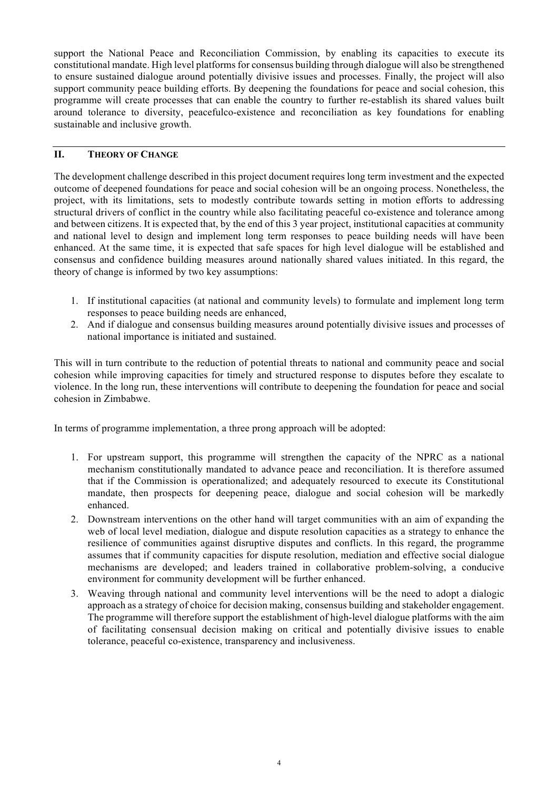support the National Peace and Reconciliation Commission, by enabling its capacities to execute its constitutional mandate. High level platforms for consensus building through dialogue will also be strengthened to ensure sustained dialogue around potentially divisive issues and processes. Finally, the project will also support community peace building efforts. By deepening the foundations for peace and social cohesion, this programme will create processes that can enable the country to further re-establish its shared values built around tolerance to diversity, peacefulco-existence and reconciliation as key foundations for enabling sustainable and inclusive growth.

#### **II. THEORY OF CHANGE**

The development challenge described in this project document requires long term investment and the expected outcome of deepened foundations for peace and social cohesion will be an ongoing process. Nonetheless, the project, with its limitations, sets to modestly contribute towards setting in motion efforts to addressing structural drivers of conflict in the country while also facilitating peaceful co-existence and tolerance among and between citizens. It is expected that, by the end of this 3 year project, institutional capacities at community and national level to design and implement long term responses to peace building needs will have been enhanced. At the same time, it is expected that safe spaces for high level dialogue will be established and consensus and confidence building measures around nationally shared values initiated. In this regard, the theory of change is informed by two key assumptions:

- 1. If institutional capacities (at national and community levels) to formulate and implement long term responses to peace building needs are enhanced,
- 2. And if dialogue and consensus building measures around potentially divisive issues and processes of national importance is initiated and sustained.

This will in turn contribute to the reduction of potential threats to national and community peace and social cohesion while improving capacities for timely and structured response to disputes before they escalate to violence. In the long run, these interventions will contribute to deepening the foundation for peace and social cohesion in Zimbabwe.

In terms of programme implementation, a three prong approach will be adopted:

- 1. For upstream support, this programme will strengthen the capacity of the NPRC as a national mechanism constitutionally mandated to advance peace and reconciliation. It is therefore assumed that if the Commission is operationalized; and adequately resourced to execute its Constitutional mandate, then prospects for deepening peace, dialogue and social cohesion will be markedly enhanced.
- 2. Downstream interventions on the other hand will target communities with an aim of expanding the web of local level mediation, dialogue and dispute resolution capacities as a strategy to enhance the resilience of communities against disruptive disputes and conflicts. In this regard, the programme assumes that if community capacities for dispute resolution, mediation and effective social dialogue mechanisms are developed; and leaders trained in collaborative problem-solving, a conducive environment for community development will be further enhanced.
- 3. Weaving through national and community level interventions will be the need to adopt a dialogic approach as a strategy of choice for decision making, consensus building and stakeholder engagement. The programme will therefore support the establishment of high-level dialogue platforms with the aim of facilitating consensual decision making on critical and potentially divisive issues to enable tolerance, peaceful co-existence, transparency and inclusiveness.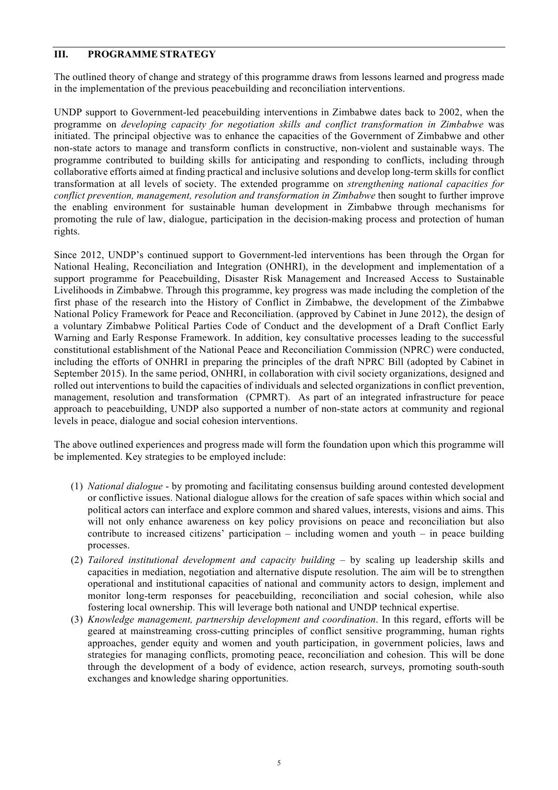#### **III. PROGRAMME STRATEGY**

The outlined theory of change and strategy of this programme draws from lessons learned and progress made in the implementation of the previous peacebuilding and reconciliation interventions.

UNDP support to Government-led peacebuilding interventions in Zimbabwe dates back to 2002, when the programme on *developing capacity for negotiation skills and conflict transformation in Zimbabwe* was initiated. The principal objective was to enhance the capacities of the Government of Zimbabwe and other non-state actors to manage and transform conflicts in constructive, non-violent and sustainable ways. The programme contributed to building skills for anticipating and responding to conflicts, including through collaborative efforts aimed at finding practical and inclusive solutions and develop long-term skills for conflict transformation at all levels of society. The extended programme on *strengthening national capacities for conflict prevention, management, resolution and transformation in Zimbabwe* then sought to further improve the enabling environment for sustainable human development in Zimbabwe through mechanisms for promoting the rule of law, dialogue, participation in the decision-making process and protection of human rights.

Since 2012, UNDP's continued support to Government-led interventions has been through the Organ for National Healing, Reconciliation and Integration (ONHRI), in the development and implementation of a support programme for Peacebuilding, Disaster Risk Management and Increased Access to Sustainable Livelihoods in Zimbabwe. Through this programme, key progress was made including the completion of the first phase of the research into the History of Conflict in Zimbabwe, the development of the Zimbabwe National Policy Framework for Peace and Reconciliation. (approved by Cabinet in June 2012), the design of a voluntary Zimbabwe Political Parties Code of Conduct and the development of a Draft Conflict Early Warning and Early Response Framework. In addition, key consultative processes leading to the successful constitutional establishment of the National Peace and Reconciliation Commission (NPRC) were conducted, including the efforts of ONHRI in preparing the principles of the draft NPRC Bill (adopted by Cabinet in September 2015). In the same period, ONHRI, in collaboration with civil society organizations, designed and rolled out interventions to build the capacities of individuals and selected organizations in conflict prevention, management, resolution and transformation (CPMRT). As part of an integrated infrastructure for peace approach to peacebuilding, UNDP also supported a number of non-state actors at community and regional levels in peace, dialogue and social cohesion interventions.

The above outlined experiences and progress made will form the foundation upon which this programme will be implemented. Key strategies to be employed include:

- (1) *National dialogue* by promoting and facilitating consensus building around contested development or conflictive issues. National dialogue allows for the creation of safe spaces within which social and political actors can interface and explore common and shared values, interests, visions and aims. This will not only enhance awareness on key policy provisions on peace and reconciliation but also contribute to increased citizens' participation – including women and youth – in peace building processes.
- (2) *Tailored institutional development and capacity building* by scaling up leadership skills and capacities in mediation, negotiation and alternative dispute resolution. The aim will be to strengthen operational and institutional capacities of national and community actors to design, implement and monitor long-term responses for peacebuilding, reconciliation and social cohesion, while also fostering local ownership. This will leverage both national and UNDP technical expertise.
- (3) *Knowledge management, partnership development and coordination*. In this regard, efforts will be geared at mainstreaming cross-cutting principles of conflict sensitive programming, human rights approaches, gender equity and women and youth participation, in government policies, laws and strategies for managing conflicts, promoting peace, reconciliation and cohesion. This will be done through the development of a body of evidence, action research, surveys, promoting south-south exchanges and knowledge sharing opportunities.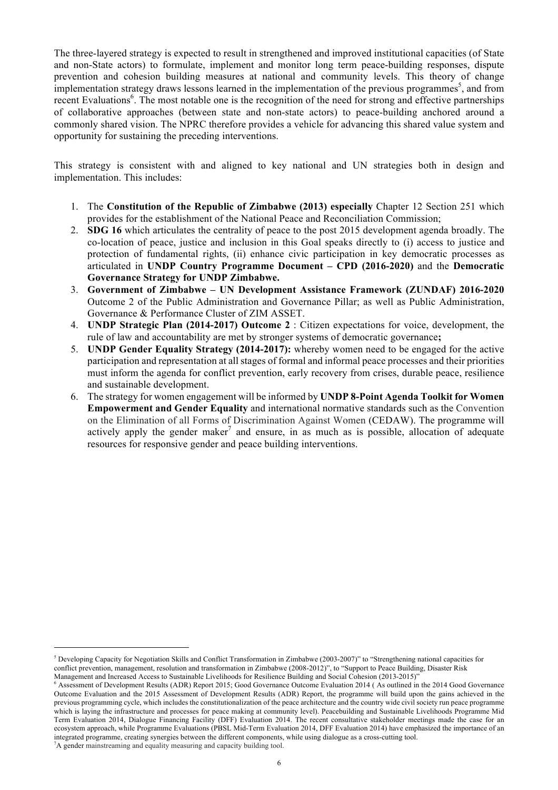The three-layered strategy is expected to result in strengthened and improved institutional capacities (of State and non-State actors) to formulate, implement and monitor long term peace-building responses, dispute prevention and cohesion building measures at national and community levels. This theory of change implementation strategy draws lessons learned in the implementation of the previous programmes<sup>5</sup>, and from recent Evaluations<sup>6</sup>. The most notable one is the recognition of the need for strong and effective partnerships of collaborative approaches (between state and non-state actors) to peace-building anchored around a commonly shared vision. The NPRC therefore provides a vehicle for advancing this shared value system and opportunity for sustaining the preceding interventions.

This strategy is consistent with and aligned to key national and UN strategies both in design and implementation. This includes:

- 1. The **Constitution of the Republic of Zimbabwe (2013) especially** Chapter 12 Section 251 which provides for the establishment of the National Peace and Reconciliation Commission;
- 2. **SDG 16** which articulates the centrality of peace to the post 2015 development agenda broadly. The co-location of peace, justice and inclusion in this Goal speaks directly to (i) access to justice and protection of fundamental rights, (ii) enhance civic participation in key democratic processes as articulated in **UNDP Country Programme Document – CPD (2016-2020)** and the **Democratic Governance Strategy for UNDP Zimbabwe.**
- 3. **Government of Zimbabwe – UN Development Assistance Framework (ZUNDAF) 2016-2020** Outcome 2 of the Public Administration and Governance Pillar; as well as Public Administration, Governance & Performance Cluster of ZIM ASSET.
- 4. **UNDP Strategic Plan (2014-2017) Outcome 2** : Citizen expectations for voice, development, the rule of law and accountability are met by stronger systems of democratic governance**;**
- 5. **UNDP Gender Equality Strategy (2014-2017):** whereby women need to be engaged for the active participation and representation at all stages of formal and informal peace processes and their priorities must inform the agenda for conflict prevention, early recovery from crises, durable peace, resilience and sustainable development.
- 6. The strategy for women engagement will be informed by **UNDP 8-Point Agenda Toolkit for Women Empowerment and Gender Equality** and international normative standards such as the Convention on the Elimination of all Forms of Discrimination Against Women (CEDAW). The programme will actively apply the gender maker<sup>7</sup> and ensure, in as much as is possible, allocation of adequate resources for responsive gender and peace building interventions.

 $<sup>5</sup>$  Developing Capacity for Negotiation Skills and Conflict Transformation in Zimbabwe (2003-2007)" to "Strengthening national capacities for</sup> conflict prevention, management, resolution and transformation in Zimbabwe (2008-2012)", to "Support to Peace Building, Disaster Risk Management and Increased Access to Sustainable Livelihoods for Resilience Building and Social Cohesion (2013-2015)"

<sup>6</sup> Assessment of Development Results (ADR) Report 2015; Good Governance Outcome Evaluation 2014 ( As outlined in the 2014 Good Governance Outcome Evaluation and the 2015 Assessment of Development Results (ADR) Report, the programme will build upon the gains achieved in the previous programming cycle, which includes the constitutionalization of the peace architecture and the country wide civil society run peace programme which is laying the infrastructure and processes for peace making at community level). Peacebuilding and Sustainable Livelihoods Programme Mid Term Evaluation 2014, Dialogue Financing Facility (DFF) Evaluation 2014. The recent consultative stakeholder meetings made the case for an ecosystem approach, while Programme Evaluations (PBSL Mid-Term Evaluation 2014, DFF Evaluation 2014) have emphasized the importance of an integrated programme, creating synergies between the different components, while using dialogue as a cross-cutting tool. <sup>7</sup>A gender mainstreaming and equality measuring and capacity building tool.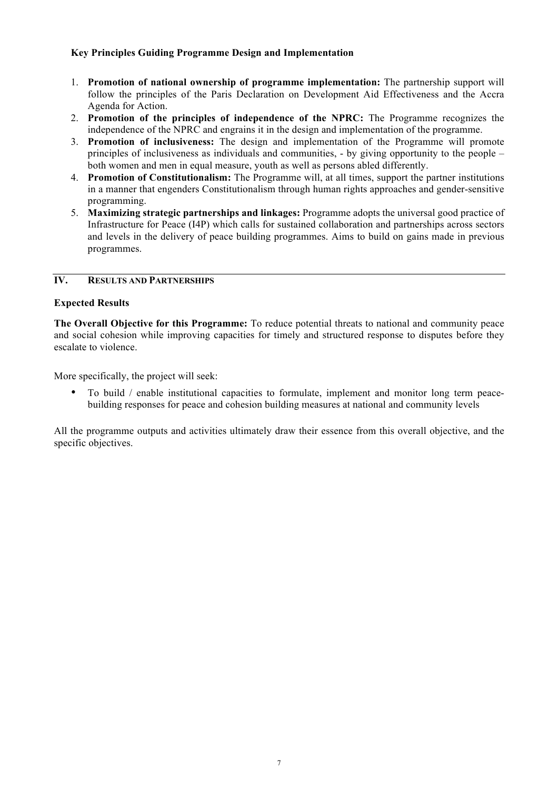### **Key Principles Guiding Programme Design and Implementation**

- 1. **Promotion of national ownership of programme implementation:** The partnership support will follow the principles of the Paris Declaration on Development Aid Effectiveness and the Accra Agenda for Action.
- 2. **Promotion of the principles of independence of the NPRC:** The Programme recognizes the independence of the NPRC and engrains it in the design and implementation of the programme.
- 3. **Promotion of inclusiveness:** The design and implementation of the Programme will promote principles of inclusiveness as individuals and communities, - by giving opportunity to the people – both women and men in equal measure, youth as well as persons abled differently.
- 4. **Promotion of Constitutionalism:** The Programme will, at all times, support the partner institutions in a manner that engenders Constitutionalism through human rights approaches and gender-sensitive programming.
- 5. **Maximizing strategic partnerships and linkages:** Programme adopts the universal good practice of Infrastructure for Peace (I4P) which calls for sustained collaboration and partnerships across sectors and levels in the delivery of peace building programmes. Aims to build on gains made in previous programmes.

### **IV. RESULTS AND PARTNERSHIPS**

### **Expected Results**

**The Overall Objective for this Programme:** To reduce potential threats to national and community peace and social cohesion while improving capacities for timely and structured response to disputes before they escalate to violence.

More specifically, the project will seek:

• To build / enable institutional capacities to formulate, implement and monitor long term peacebuilding responses for peace and cohesion building measures at national and community levels

All the programme outputs and activities ultimately draw their essence from this overall objective, and the specific objectives.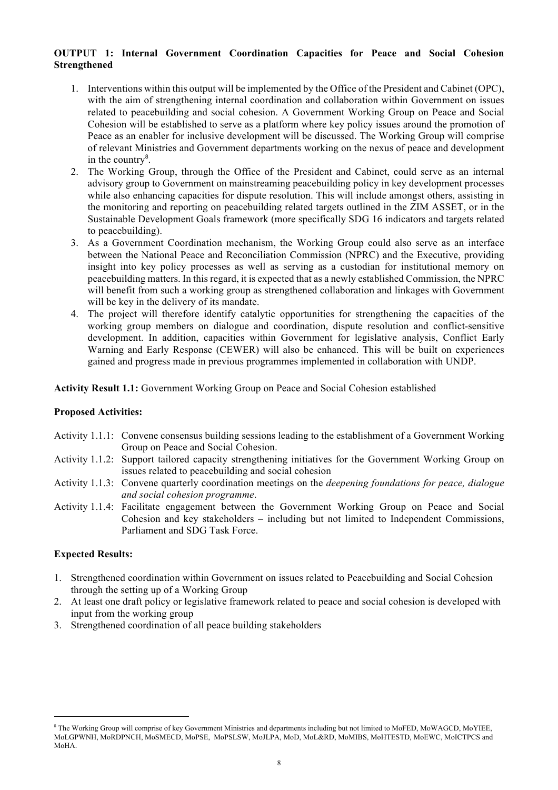### **OUTPUT 1: Internal Government Coordination Capacities for Peace and Social Cohesion Strengthened**

- 1. Interventions within this output will be implemented by the Office of the President and Cabinet (OPC), with the aim of strengthening internal coordination and collaboration within Government on issues related to peacebuilding and social cohesion. A Government Working Group on Peace and Social Cohesion will be established to serve as a platform where key policy issues around the promotion of Peace as an enabler for inclusive development will be discussed. The Working Group will comprise of relevant Ministries and Government departments working on the nexus of peace and development in the country $8$ .
- 2. The Working Group, through the Office of the President and Cabinet, could serve as an internal advisory group to Government on mainstreaming peacebuilding policy in key development processes while also enhancing capacities for dispute resolution. This will include amongst others, assisting in the monitoring and reporting on peacebuilding related targets outlined in the ZIM ASSET, or in the Sustainable Development Goals framework (more specifically SDG 16 indicators and targets related to peacebuilding).
- 3. As a Government Coordination mechanism, the Working Group could also serve as an interface between the National Peace and Reconciliation Commission (NPRC) and the Executive, providing insight into key policy processes as well as serving as a custodian for institutional memory on peacebuilding matters. In this regard, it is expected that as a newly established Commission, the NPRC will benefit from such a working group as strengthened collaboration and linkages with Government will be key in the delivery of its mandate.
- 4. The project will therefore identify catalytic opportunities for strengthening the capacities of the working group members on dialogue and coordination, dispute resolution and conflict-sensitive development. In addition, capacities within Government for legislative analysis, Conflict Early Warning and Early Response (CEWER) will also be enhanced. This will be built on experiences gained and progress made in previous programmes implemented in collaboration with UNDP.

**Activity Result 1.1:** Government Working Group on Peace and Social Cohesion established

### **Proposed Activities:**

- Activity 1.1.1: Convene consensus building sessions leading to the establishment of a Government Working Group on Peace and Social Cohesion.
- Activity 1.1.2: Support tailored capacity strengthening initiatives for the Government Working Group on issues related to peacebuilding and social cohesion
- Activity 1.1.3: Convene quarterly coordination meetings on the *deepening foundations for peace, dialogue and social cohesion programme*.
- Activity 1.1.4: Facilitate engagement between the Government Working Group on Peace and Social Cohesion and key stakeholders – including but not limited to Independent Commissions, Parliament and SDG Task Force.

### **Expected Results:**

- 1. Strengthened coordination within Government on issues related to Peacebuilding and Social Cohesion through the setting up of a Working Group
- 2. At least one draft policy or legislative framework related to peace and social cohesion is developed with input from the working group
- 3. Strengthened coordination of all peace building stakeholders

<sup>8</sup> The Working Group will comprise of key Government Ministries and departments including but not limited to MoFED, MoWAGCD, MoYIEE, MoLGPWNH, MoRDPNCH, MoSMECD, MoPSE, MoPSLSW, MoJLPA, MoD, MoL&RD, MoMIBS, MoHTESTD, MoEWC, MoICTPCS and MoHA.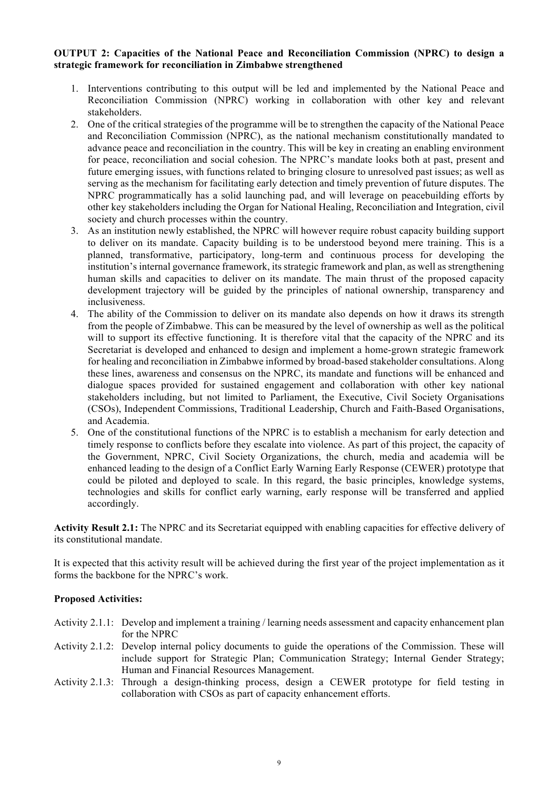#### **OUTPUT 2: Capacities of the National Peace and Reconciliation Commission (NPRC) to design a strategic framework for reconciliation in Zimbabwe strengthened**

- 1. Interventions contributing to this output will be led and implemented by the National Peace and Reconciliation Commission (NPRC) working in collaboration with other key and relevant stakeholders.
- 2. One of the critical strategies of the programme will be to strengthen the capacity of the National Peace and Reconciliation Commission (NPRC), as the national mechanism constitutionally mandated to advance peace and reconciliation in the country. This will be key in creating an enabling environment for peace, reconciliation and social cohesion. The NPRC's mandate looks both at past, present and future emerging issues, with functions related to bringing closure to unresolved past issues; as well as serving as the mechanism for facilitating early detection and timely prevention of future disputes. The NPRC programmatically has a solid launching pad, and will leverage on peacebuilding efforts by other key stakeholders including the Organ for National Healing, Reconciliation and Integration, civil society and church processes within the country.
- 3. As an institution newly established, the NPRC will however require robust capacity building support to deliver on its mandate. Capacity building is to be understood beyond mere training. This is a planned, transformative, participatory, long-term and continuous process for developing the institution's internal governance framework, its strategic framework and plan, as well as strengthening human skills and capacities to deliver on its mandate. The main thrust of the proposed capacity development trajectory will be guided by the principles of national ownership, transparency and inclusiveness.
- 4. The ability of the Commission to deliver on its mandate also depends on how it draws its strength from the people of Zimbabwe. This can be measured by the level of ownership as well as the political will to support its effective functioning. It is therefore vital that the capacity of the NPRC and its Secretariat is developed and enhanced to design and implement a home-grown strategic framework for healing and reconciliation in Zimbabwe informed by broad-based stakeholder consultations. Along these lines, awareness and consensus on the NPRC, its mandate and functions will be enhanced and dialogue spaces provided for sustained engagement and collaboration with other key national stakeholders including, but not limited to Parliament, the Executive, Civil Society Organisations (CSOs), Independent Commissions, Traditional Leadership, Church and Faith-Based Organisations, and Academia.
- 5. One of the constitutional functions of the NPRC is to establish a mechanism for early detection and timely response to conflicts before they escalate into violence. As part of this project, the capacity of the Government, NPRC, Civil Society Organizations, the church, media and academia will be enhanced leading to the design of a Conflict Early Warning Early Response (CEWER) prototype that could be piloted and deployed to scale. In this regard, the basic principles, knowledge systems, technologies and skills for conflict early warning, early response will be transferred and applied accordingly.

**Activity Result 2.1:** The NPRC and its Secretariat equipped with enabling capacities for effective delivery of its constitutional mandate.

It is expected that this activity result will be achieved during the first year of the project implementation as it forms the backbone for the NPRC's work.

#### **Proposed Activities:**

- Activity 2.1.1: Develop and implement a training / learning needs assessment and capacity enhancement plan for the NPRC
- Activity 2.1.2: Develop internal policy documents to guide the operations of the Commission. These will include support for Strategic Plan; Communication Strategy; Internal Gender Strategy; Human and Financial Resources Management.
- Activity 2.1.3: Through a design-thinking process, design a CEWER prototype for field testing in collaboration with CSOs as part of capacity enhancement efforts.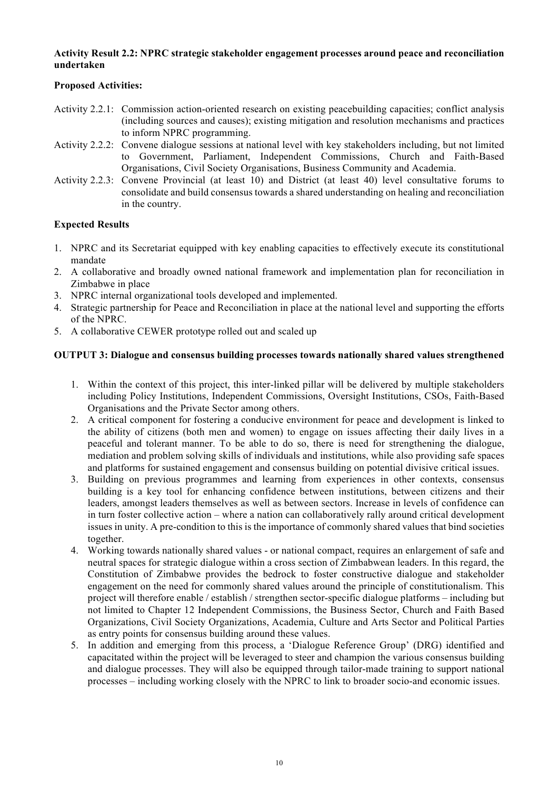#### **Activity Result 2.2: NPRC strategic stakeholder engagement processes around peace and reconciliation undertaken**

### **Proposed Activities:**

- Activity 2.2.1: Commission action-oriented research on existing peacebuilding capacities; conflict analysis (including sources and causes); existing mitigation and resolution mechanisms and practices to inform NPRC programming.
- Activity 2.2.2: Convene dialogue sessions at national level with key stakeholders including, but not limited to Government, Parliament, Independent Commissions, Church and Faith-Based Organisations, Civil Society Organisations, Business Community and Academia.
- Activity 2.2.3: Convene Provincial (at least 10) and District (at least 40) level consultative forums to consolidate and build consensus towards a shared understanding on healing and reconciliation in the country.

### **Expected Results**

- 1. NPRC and its Secretariat equipped with key enabling capacities to effectively execute its constitutional mandate
- 2. A collaborative and broadly owned national framework and implementation plan for reconciliation in Zimbabwe in place
- 3. NPRC internal organizational tools developed and implemented.
- 4. Strategic partnership for Peace and Reconciliation in place at the national level and supporting the efforts of the NPRC.
- 5. A collaborative CEWER prototype rolled out and scaled up

### **OUTPUT 3: Dialogue and consensus building processes towards nationally shared values strengthened**

- 1. Within the context of this project, this inter-linked pillar will be delivered by multiple stakeholders including Policy Institutions, Independent Commissions, Oversight Institutions, CSOs, Faith-Based Organisations and the Private Sector among others.
- 2. A critical component for fostering a conducive environment for peace and development is linked to the ability of citizens (both men and women) to engage on issues affecting their daily lives in a peaceful and tolerant manner. To be able to do so, there is need for strengthening the dialogue, mediation and problem solving skills of individuals and institutions, while also providing safe spaces and platforms for sustained engagement and consensus building on potential divisive critical issues.
- 3. Building on previous programmes and learning from experiences in other contexts, consensus building is a key tool for enhancing confidence between institutions, between citizens and their leaders, amongst leaders themselves as well as between sectors. Increase in levels of confidence can in turn foster collective action – where a nation can collaboratively rally around critical development issues in unity. A pre-condition to this is the importance of commonly shared values that bind societies together.
- 4. Working towards nationally shared values or national compact, requires an enlargement of safe and neutral spaces for strategic dialogue within a cross section of Zimbabwean leaders. In this regard, the Constitution of Zimbabwe provides the bedrock to foster constructive dialogue and stakeholder engagement on the need for commonly shared values around the principle of constitutionalism. This project will therefore enable / establish / strengthen sector-specific dialogue platforms – including but not limited to Chapter 12 Independent Commissions, the Business Sector, Church and Faith Based Organizations, Civil Society Organizations, Academia, Culture and Arts Sector and Political Parties as entry points for consensus building around these values.
- 5. In addition and emerging from this process, a 'Dialogue Reference Group' (DRG) identified and capacitated within the project will be leveraged to steer and champion the various consensus building and dialogue processes. They will also be equipped through tailor-made training to support national processes – including working closely with the NPRC to link to broader socio-and economic issues.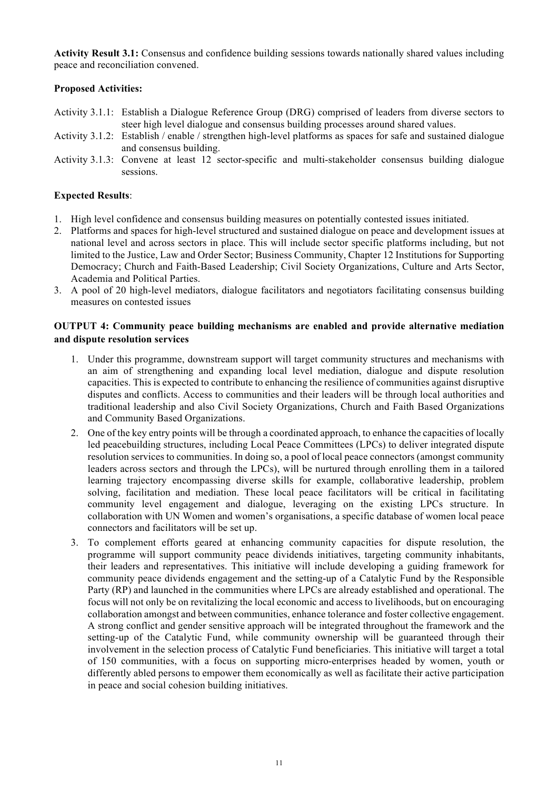**Activity Result 3.1:** Consensus and confidence building sessions towards nationally shared values including peace and reconciliation convened.

### **Proposed Activities:**

- Activity 3.1.1: Establish a Dialogue Reference Group (DRG) comprised of leaders from diverse sectors to steer high level dialogue and consensus building processes around shared values.
- Activity 3.1.2: Establish / enable / strengthen high-level platforms as spaces for safe and sustained dialogue and consensus building.
- Activity 3.1.3: Convene at least 12 sector-specific and multi-stakeholder consensus building dialogue sessions.

### **Expected Results**:

- 1. High level confidence and consensus building measures on potentially contested issues initiated.
- 2. Platforms and spaces for high-level structured and sustained dialogue on peace and development issues at national level and across sectors in place. This will include sector specific platforms including, but not limited to the Justice, Law and Order Sector; Business Community, Chapter 12 Institutions for Supporting Democracy; Church and Faith-Based Leadership; Civil Society Organizations, Culture and Arts Sector, Academia and Political Parties.
- 3. A pool of 20 high-level mediators, dialogue facilitators and negotiators facilitating consensus building measures on contested issues

#### **OUTPUT 4: Community peace building mechanisms are enabled and provide alternative mediation and dispute resolution services**

- 1. Under this programme, downstream support will target community structures and mechanisms with an aim of strengthening and expanding local level mediation, dialogue and dispute resolution capacities. This is expected to contribute to enhancing the resilience of communities against disruptive disputes and conflicts. Access to communities and their leaders will be through local authorities and traditional leadership and also Civil Society Organizations, Church and Faith Based Organizations and Community Based Organizations.
- 2. One of the key entry points will be through a coordinated approach, to enhance the capacities of locally led peacebuilding structures, including Local Peace Committees (LPCs) to deliver integrated dispute resolution services to communities. In doing so, a pool of local peace connectors (amongst community leaders across sectors and through the LPCs), will be nurtured through enrolling them in a tailored learning trajectory encompassing diverse skills for example, collaborative leadership, problem solving, facilitation and mediation. These local peace facilitators will be critical in facilitating community level engagement and dialogue, leveraging on the existing LPCs structure. In collaboration with UN Women and women's organisations, a specific database of women local peace connectors and facilitators will be set up.
- 3. To complement efforts geared at enhancing community capacities for dispute resolution, the programme will support community peace dividends initiatives, targeting community inhabitants, their leaders and representatives. This initiative will include developing a guiding framework for community peace dividends engagement and the setting-up of a Catalytic Fund by the Responsible Party (RP) and launched in the communities where LPCs are already established and operational. The focus will not only be on revitalizing the local economic and access to livelihoods, but on encouraging collaboration amongst and between communities, enhance tolerance and foster collective engagement. A strong conflict and gender sensitive approach will be integrated throughout the framework and the setting-up of the Catalytic Fund, while community ownership will be guaranteed through their involvement in the selection process of Catalytic Fund beneficiaries. This initiative will target a total of 150 communities, with a focus on supporting micro-enterprises headed by women, youth or differently abled persons to empower them economically as well as facilitate their active participation in peace and social cohesion building initiatives.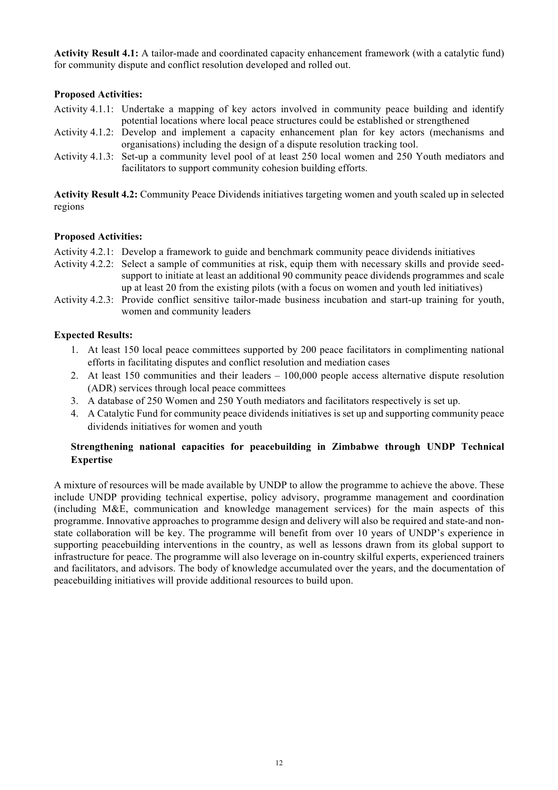**Activity Result 4.1:** A tailor-made and coordinated capacity enhancement framework (with a catalytic fund) for community dispute and conflict resolution developed and rolled out.

### **Proposed Activities:**

- Activity 4.1.1: Undertake a mapping of key actors involved in community peace building and identify potential locations where local peace structures could be established or strengthened
- Activity 4.1.2: Develop and implement a capacity enhancement plan for key actors (mechanisms and organisations) including the design of a dispute resolution tracking tool.
- Activity 4.1.3: Set-up a community level pool of at least 250 local women and 250 Youth mediators and facilitators to support community cohesion building efforts.

**Activity Result 4.2:** Community Peace Dividends initiatives targeting women and youth scaled up in selected regions

#### **Proposed Activities:**

- Activity 4.2.1: Develop a framework to guide and benchmark community peace dividends initiatives
- Activity 4.2.2: Select a sample of communities at risk, equip them with necessary skills and provide seedsupport to initiate at least an additional 90 community peace dividends programmes and scale up at least 20 from the existing pilots (with a focus on women and youth led initiatives)
- Activity 4.2.3: Provide conflict sensitive tailor-made business incubation and start-up training for youth, women and community leaders

### **Expected Results:**

- 1. At least 150 local peace committees supported by 200 peace facilitators in complimenting national efforts in facilitating disputes and conflict resolution and mediation cases
- 2. At least 150 communities and their leaders 100,000 people access alternative dispute resolution (ADR) services through local peace committees
- 3. A database of 250 Women and 250 Youth mediators and facilitators respectively is set up.
- 4. A Catalytic Fund for community peace dividends initiatives is set up and supporting community peace dividends initiatives for women and youth

### **Strengthening national capacities for peacebuilding in Zimbabwe through UNDP Technical Expertise**

A mixture of resources will be made available by UNDP to allow the programme to achieve the above. These include UNDP providing technical expertise, policy advisory, programme management and coordination (including M&E, communication and knowledge management services) for the main aspects of this programme. Innovative approaches to programme design and delivery will also be required and state-and nonstate collaboration will be key. The programme will benefit from over 10 years of UNDP's experience in supporting peacebuilding interventions in the country, as well as lessons drawn from its global support to infrastructure for peace. The programme will also leverage on in-country skilful experts, experienced trainers and facilitators, and advisors. The body of knowledge accumulated over the years, and the documentation of peacebuilding initiatives will provide additional resources to build upon.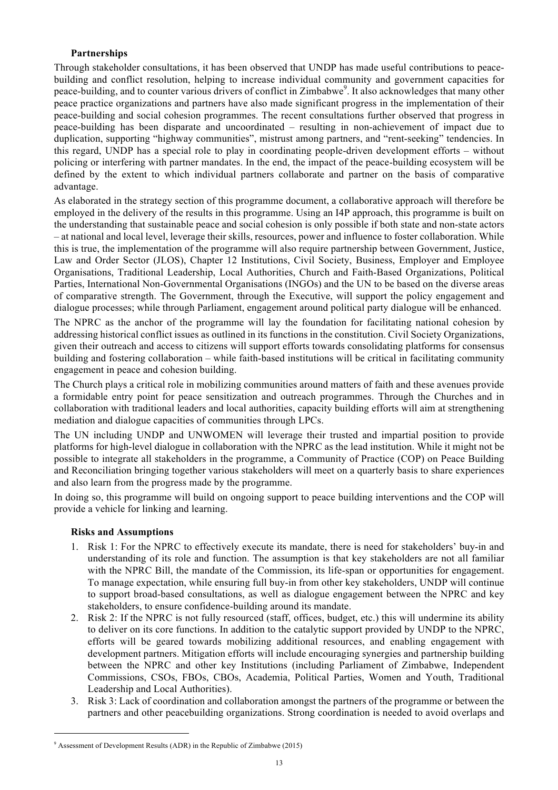### **Partnerships**

Through stakeholder consultations, it has been observed that UNDP has made useful contributions to peacebuilding and conflict resolution, helping to increase individual community and government capacities for peace-building, and to counter various drivers of conflict in Zimbabwe<sup>9</sup>. It also acknowledges that many other peace practice organizations and partners have also made significant progress in the implementation of their peace-building and social cohesion programmes. The recent consultations further observed that progress in peace-building has been disparate and uncoordinated – resulting in non-achievement of impact due to duplication, supporting "highway communities", mistrust among partners, and "rent-seeking" tendencies. In this regard, UNDP has a special role to play in coordinating people-driven development efforts – without policing or interfering with partner mandates. In the end, the impact of the peace-building ecosystem will be defined by the extent to which individual partners collaborate and partner on the basis of comparative advantage.

As elaborated in the strategy section of this programme document, a collaborative approach will therefore be employed in the delivery of the results in this programme. Using an I4P approach, this programme is built on the understanding that sustainable peace and social cohesion is only possible if both state and non-state actors – at national and local level, leverage their skills, resources, power and influence to foster collaboration. While this is true, the implementation of the programme will also require partnership between Government, Justice, Law and Order Sector (JLOS), Chapter 12 Institutions, Civil Society, Business, Employer and Employee Organisations, Traditional Leadership, Local Authorities, Church and Faith-Based Organizations, Political Parties, International Non-Governmental Organisations (INGOs) and the UN to be based on the diverse areas of comparative strength. The Government, through the Executive, will support the policy engagement and dialogue processes; while through Parliament, engagement around political party dialogue will be enhanced.

The NPRC as the anchor of the programme will lay the foundation for facilitating national cohesion by addressing historical conflict issues as outlined in its functions in the constitution. Civil Society Organizations, given their outreach and access to citizens will support efforts towards consolidating platforms for consensus building and fostering collaboration – while faith-based institutions will be critical in facilitating community engagement in peace and cohesion building.

The Church plays a critical role in mobilizing communities around matters of faith and these avenues provide a formidable entry point for peace sensitization and outreach programmes. Through the Churches and in collaboration with traditional leaders and local authorities, capacity building efforts will aim at strengthening mediation and dialogue capacities of communities through LPCs.

The UN including UNDP and UNWOMEN will leverage their trusted and impartial position to provide platforms for high-level dialogue in collaboration with the NPRC as the lead institution. While it might not be possible to integrate all stakeholders in the programme, a Community of Practice (COP) on Peace Building and Reconciliation bringing together various stakeholders will meet on a quarterly basis to share experiences and also learn from the progress made by the programme.

In doing so, this programme will build on ongoing support to peace building interventions and the COP will provide a vehicle for linking and learning.

#### **Risks and Assumptions**

 $\overline{a}$ 

- 1. Risk 1: For the NPRC to effectively execute its mandate, there is need for stakeholders' buy-in and understanding of its role and function. The assumption is that key stakeholders are not all familiar with the NPRC Bill, the mandate of the Commission, its life-span or opportunities for engagement. To manage expectation, while ensuring full buy-in from other key stakeholders, UNDP will continue to support broad-based consultations, as well as dialogue engagement between the NPRC and key stakeholders, to ensure confidence-building around its mandate.
- 2. Risk 2: If the NPRC is not fully resourced (staff, offices, budget, etc.) this will undermine its ability to deliver on its core functions. In addition to the catalytic support provided by UNDP to the NPRC, efforts will be geared towards mobilizing additional resources, and enabling engagement with development partners. Mitigation efforts will include encouraging synergies and partnership building between the NPRC and other key Institutions (including Parliament of Zimbabwe, Independent Commissions, CSOs, FBOs, CBOs, Academia, Political Parties, Women and Youth, Traditional Leadership and Local Authorities).
- 3. Risk 3: Lack of coordination and collaboration amongst the partners of the programme or between the partners and other peacebuilding organizations. Strong coordination is needed to avoid overlaps and

 $9$  Assessment of Development Results (ADR) in the Republic of Zimbabwe (2015)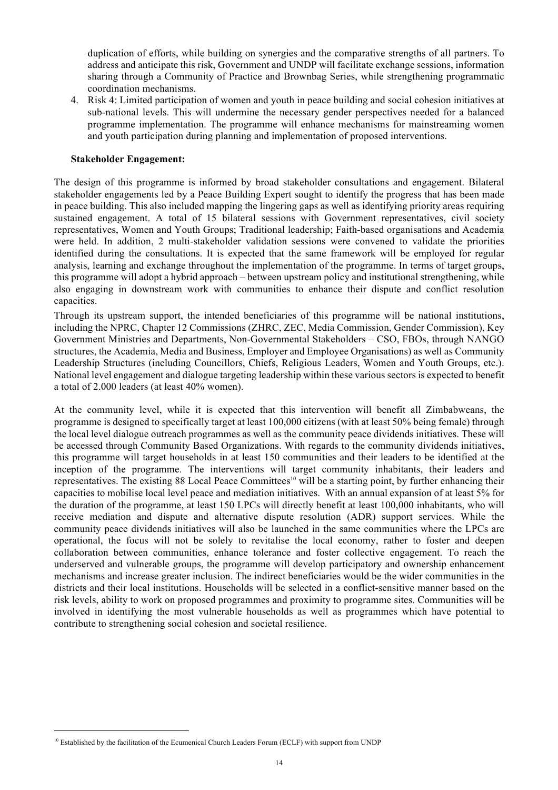duplication of efforts, while building on synergies and the comparative strengths of all partners. To address and anticipate this risk, Government and UNDP will facilitate exchange sessions, information sharing through a Community of Practice and Brownbag Series, while strengthening programmatic coordination mechanisms.

4. Risk 4: Limited participation of women and youth in peace building and social cohesion initiatives at sub-national levels. This will undermine the necessary gender perspectives needed for a balanced programme implementation. The programme will enhance mechanisms for mainstreaming women and youth participation during planning and implementation of proposed interventions.

#### **Stakeholder Engagement:**

The design of this programme is informed by broad stakeholder consultations and engagement. Bilateral stakeholder engagements led by a Peace Building Expert sought to identify the progress that has been made in peace building. This also included mapping the lingering gaps as well as identifying priority areas requiring sustained engagement. A total of 15 bilateral sessions with Government representatives, civil society representatives, Women and Youth Groups; Traditional leadership; Faith-based organisations and Academia were held. In addition, 2 multi-stakeholder validation sessions were convened to validate the priorities identified during the consultations. It is expected that the same framework will be employed for regular analysis, learning and exchange throughout the implementation of the programme. In terms of target groups, this programme will adopt a hybrid approach – between upstream policy and institutional strengthening, while also engaging in downstream work with communities to enhance their dispute and conflict resolution capacities.

Through its upstream support, the intended beneficiaries of this programme will be national institutions, including the NPRC, Chapter 12 Commissions (ZHRC, ZEC, Media Commission, Gender Commission), Key Government Ministries and Departments, Non-Governmental Stakeholders – CSO, FBOs, through NANGO structures, the Academia, Media and Business, Employer and Employee Organisations) as well as Community Leadership Structures (including Councillors, Chiefs, Religious Leaders, Women and Youth Groups, etc.). National level engagement and dialogue targeting leadership within these various sectors is expected to benefit a total of 2.000 leaders (at least 40% women).

At the community level, while it is expected that this intervention will benefit all Zimbabweans, the programme is designed to specifically target at least 100,000 citizens (with at least 50% being female) through the local level dialogue outreach programmes as well as the community peace dividends initiatives. These will be accessed through Community Based Organizations. With regards to the community dividends initiatives, this programme will target households in at least 150 communities and their leaders to be identified at the inception of the programme. The interventions will target community inhabitants, their leaders and representatives. The existing 88 Local Peace Committees<sup>10</sup> will be a starting point, by further enhancing their capacities to mobilise local level peace and mediation initiatives. With an annual expansion of at least 5% for the duration of the programme, at least 150 LPCs will directly benefit at least 100,000 inhabitants, who will receive mediation and dispute and alternative dispute resolution (ADR) support services. While the community peace dividends initiatives will also be launched in the same communities where the LPCs are operational, the focus will not be solely to revitalise the local economy, rather to foster and deepen collaboration between communities, enhance tolerance and foster collective engagement. To reach the underserved and vulnerable groups, the programme will develop participatory and ownership enhancement mechanisms and increase greater inclusion. The indirect beneficiaries would be the wider communities in the districts and their local institutions. Households will be selected in a conflict-sensitive manner based on the risk levels, ability to work on proposed programmes and proximity to programme sites. Communities will be involved in identifying the most vulnerable households as well as programmes which have potential to contribute to strengthening social cohesion and societal resilience.

<sup>&</sup>lt;sup>10</sup> Established by the facilitation of the Ecumenical Church Leaders Forum (ECLF) with support from UNDP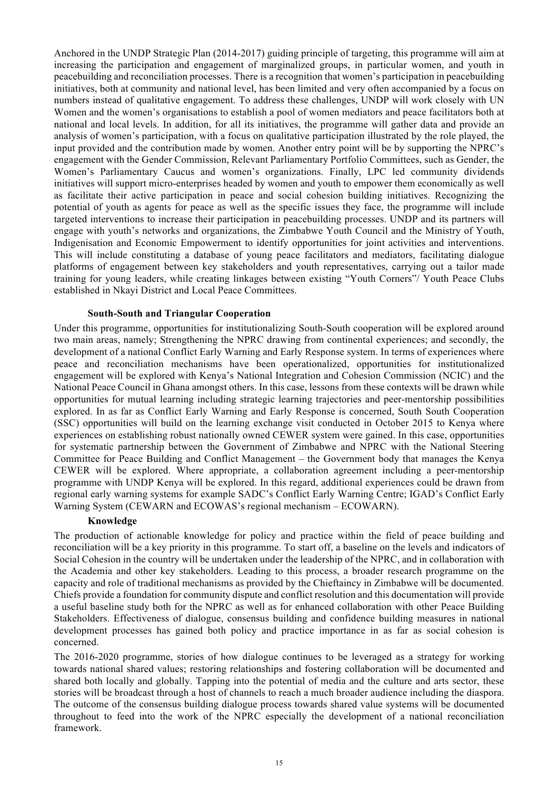Anchored in the UNDP Strategic Plan (2014-2017) guiding principle of targeting, this programme will aim at increasing the participation and engagement of marginalized groups, in particular women, and youth in peacebuilding and reconciliation processes. There is a recognition that women's participation in peacebuilding initiatives, both at community and national level, has been limited and very often accompanied by a focus on numbers instead of qualitative engagement. To address these challenges, UNDP will work closely with UN Women and the women's organisations to establish a pool of women mediators and peace facilitators both at national and local levels. In addition, for all its initiatives, the programme will gather data and provide an analysis of women's participation, with a focus on qualitative participation illustrated by the role played, the input provided and the contribution made by women. Another entry point will be by supporting the NPRC's engagement with the Gender Commission, Relevant Parliamentary Portfolio Committees, such as Gender, the Women's Parliamentary Caucus and women's organizations. Finally, LPC led community dividends initiatives will support micro-enterprises headed by women and youth to empower them economically as well as facilitate their active participation in peace and social cohesion building initiatives. Recognizing the potential of youth as agents for peace as well as the specific issues they face, the programme will include targeted interventions to increase their participation in peacebuilding processes. UNDP and its partners will engage with youth's networks and organizations, the Zimbabwe Youth Council and the Ministry of Youth, Indigenisation and Economic Empowerment to identify opportunities for joint activities and interventions. This will include constituting a database of young peace facilitators and mediators, facilitating dialogue platforms of engagement between key stakeholders and youth representatives, carrying out a tailor made training for young leaders, while creating linkages between existing "Youth Corners"/ Youth Peace Clubs established in Nkayi District and Local Peace Committees.

#### **South-South and Triangular Cooperation**

Under this programme, opportunities for institutionalizing South-South cooperation will be explored around two main areas, namely; Strengthening the NPRC drawing from continental experiences; and secondly, the development of a national Conflict Early Warning and Early Response system. In terms of experiences where peace and reconciliation mechanisms have been operationalized, opportunities for institutionalized engagement will be explored with Kenya's National Integration and Cohesion Commission (NCIC) and the National Peace Council in Ghana amongst others. In this case, lessons from these contexts will be drawn while opportunities for mutual learning including strategic learning trajectories and peer-mentorship possibilities explored. In as far as Conflict Early Warning and Early Response is concerned, South South Cooperation (SSC) opportunities will build on the learning exchange visit conducted in October 2015 to Kenya where experiences on establishing robust nationally owned CEWER system were gained. In this case, opportunities for systematic partnership between the Government of Zimbabwe and NPRC with the National Steering Committee for Peace Building and Conflict Management – the Government body that manages the Kenya CEWER will be explored. Where appropriate, a collaboration agreement including a peer-mentorship programme with UNDP Kenya will be explored. In this regard, additional experiences could be drawn from regional early warning systems for example SADC's Conflict Early Warning Centre; IGAD's Conflict Early Warning System (CEWARN and ECOWAS's regional mechanism – ECOWARN).

#### **Knowledge**

The production of actionable knowledge for policy and practice within the field of peace building and reconciliation will be a key priority in this programme. To start off, a baseline on the levels and indicators of Social Cohesion in the country will be undertaken under the leadership of the NPRC, and in collaboration with the Academia and other key stakeholders. Leading to this process, a broader research programme on the capacity and role of traditional mechanisms as provided by the Chieftaincy in Zimbabwe will be documented. Chiefs provide a foundation for community dispute and conflict resolution and this documentation will provide a useful baseline study both for the NPRC as well as for enhanced collaboration with other Peace Building Stakeholders. Effectiveness of dialogue, consensus building and confidence building measures in national development processes has gained both policy and practice importance in as far as social cohesion is concerned.

The 2016-2020 programme, stories of how dialogue continues to be leveraged as a strategy for working towards national shared values; restoring relationships and fostering collaboration will be documented and shared both locally and globally. Tapping into the potential of media and the culture and arts sector, these stories will be broadcast through a host of channels to reach a much broader audience including the diaspora. The outcome of the consensus building dialogue process towards shared value systems will be documented throughout to feed into the work of the NPRC especially the development of a national reconciliation framework.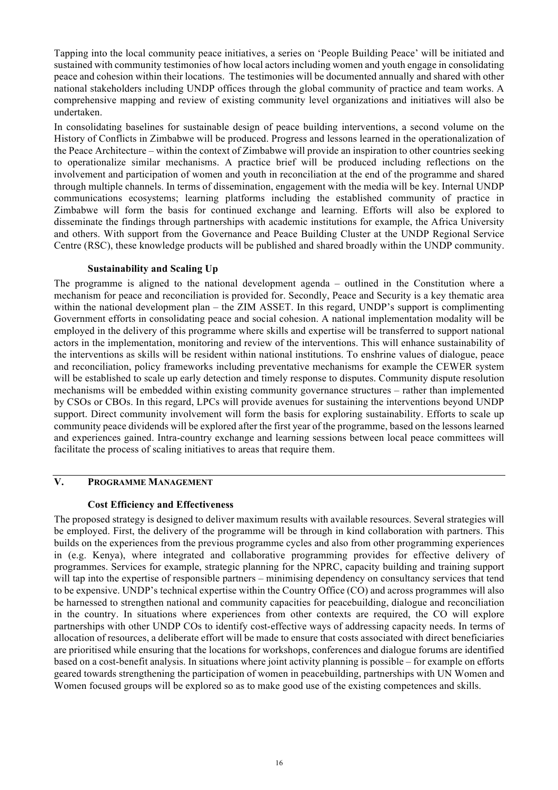Tapping into the local community peace initiatives, a series on 'People Building Peace' will be initiated and sustained with community testimonies of how local actors including women and youth engage in consolidating peace and cohesion within their locations. The testimonies will be documented annually and shared with other national stakeholders including UNDP offices through the global community of practice and team works. A comprehensive mapping and review of existing community level organizations and initiatives will also be undertaken.

In consolidating baselines for sustainable design of peace building interventions, a second volume on the History of Conflicts in Zimbabwe will be produced. Progress and lessons learned in the operationalization of the Peace Architecture – within the context of Zimbabwe will provide an inspiration to other countries seeking to operationalize similar mechanisms. A practice brief will be produced including reflections on the involvement and participation of women and youth in reconciliation at the end of the programme and shared through multiple channels. In terms of dissemination, engagement with the media will be key. Internal UNDP communications ecosystems; learning platforms including the established community of practice in Zimbabwe will form the basis for continued exchange and learning. Efforts will also be explored to disseminate the findings through partnerships with academic institutions for example, the Africa University and others. With support from the Governance and Peace Building Cluster at the UNDP Regional Service Centre (RSC), these knowledge products will be published and shared broadly within the UNDP community.

#### **Sustainability and Scaling Up**

The programme is aligned to the national development agenda – outlined in the Constitution where a mechanism for peace and reconciliation is provided for. Secondly, Peace and Security is a key thematic area within the national development plan – the ZIM ASSET. In this regard, UNDP's support is complimenting Government efforts in consolidating peace and social cohesion. A national implementation modality will be employed in the delivery of this programme where skills and expertise will be transferred to support national actors in the implementation, monitoring and review of the interventions. This will enhance sustainability of the interventions as skills will be resident within national institutions. To enshrine values of dialogue, peace and reconciliation, policy frameworks including preventative mechanisms for example the CEWER system will be established to scale up early detection and timely response to disputes. Community dispute resolution mechanisms will be embedded within existing community governance structures – rather than implemented by CSOs or CBOs. In this regard, LPCs will provide avenues for sustaining the interventions beyond UNDP support. Direct community involvement will form the basis for exploring sustainability. Efforts to scale up community peace dividends will be explored after the first year of the programme, based on the lessons learned and experiences gained. Intra-country exchange and learning sessions between local peace committees will facilitate the process of scaling initiatives to areas that require them.

# **V. PROGRAMME MANAGEMENT**

#### **Cost Efficiency and Effectiveness**

The proposed strategy is designed to deliver maximum results with available resources. Several strategies will be employed. First, the delivery of the programme will be through in kind collaboration with partners. This builds on the experiences from the previous programme cycles and also from other programming experiences in (e.g. Kenya), where integrated and collaborative programming provides for effective delivery of programmes. Services for example, strategic planning for the NPRC, capacity building and training support will tap into the expertise of responsible partners – minimising dependency on consultancy services that tend to be expensive. UNDP's technical expertise within the Country Office (CO) and across programmes will also be harnessed to strengthen national and community capacities for peacebuilding, dialogue and reconciliation in the country. In situations where experiences from other contexts are required, the CO will explore partnerships with other UNDP COs to identify cost-effective ways of addressing capacity needs. In terms of allocation of resources, a deliberate effort will be made to ensure that costs associated with direct beneficiaries are prioritised while ensuring that the locations for workshops, conferences and dialogue forums are identified based on a cost-benefit analysis. In situations where joint activity planning is possible – for example on efforts geared towards strengthening the participation of women in peacebuilding, partnerships with UN Women and Women focused groups will be explored so as to make good use of the existing competences and skills.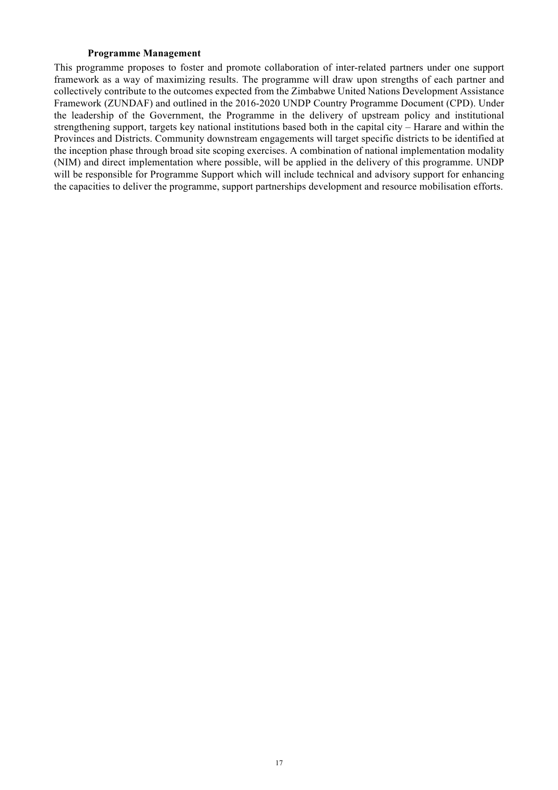#### **Programme Management**

This programme proposes to foster and promote collaboration of inter-related partners under one support framework as a way of maximizing results. The programme will draw upon strengths of each partner and collectively contribute to the outcomes expected from the Zimbabwe United Nations Development Assistance Framework (ZUNDAF) and outlined in the 2016-2020 UNDP Country Programme Document (CPD). Under the leadership of the Government, the Programme in the delivery of upstream policy and institutional strengthening support, targets key national institutions based both in the capital city – Harare and within the Provinces and Districts. Community downstream engagements will target specific districts to be identified at the inception phase through broad site scoping exercises. A combination of national implementation modality (NIM) and direct implementation where possible, will be applied in the delivery of this programme. UNDP will be responsible for Programme Support which will include technical and advisory support for enhancing the capacities to deliver the programme, support partnerships development and resource mobilisation efforts.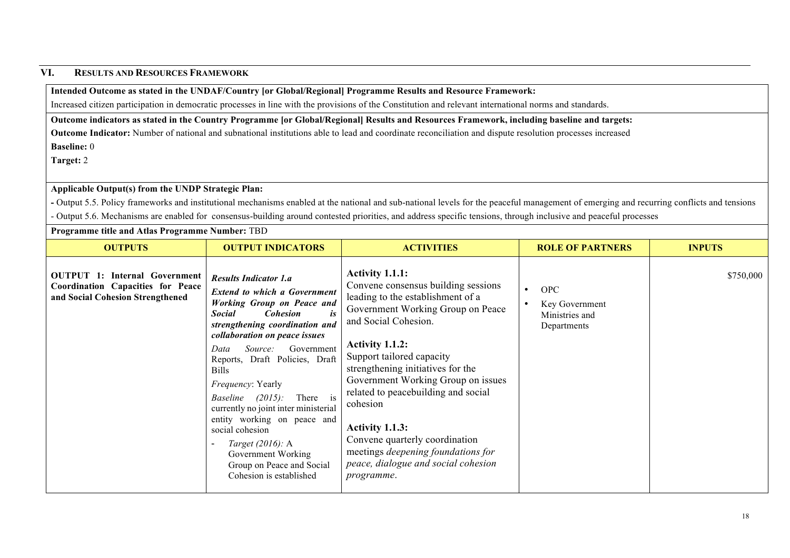### **VI. RESULTS AND RESOURCES FRAMEWORK**

### **Intended Outcome as stated in the UNDAF/Country [or Global/Regional] Programme Results and Resource Framework:**

Increased citizen participation in democratic processes in line with the provisions of the Constitution and relevant international norms and standards.

**Outcome indicators as stated in the Country Programme [or Global/Regional] Results and Resources Framework, including baseline and targets:**

**Outcome Indicator:** Number of national and subnational institutions able to lead and coordinate reconciliation and dispute resolution processes increased **Baseline:** 0

**Target:** 2

#### **Applicable Output(s) from the UNDP Strategic Plan:**

**-** Output 5.5. Policy frameworks and institutional mechanisms enabled at the national and sub-national levels for the peaceful management of emerging and recurring conflicts and tensions - Output 5.6. Mechanisms are enabled for consensus-building around contested priorities, and address specific tensions, through inclusive and peaceful processes

**Programme title and Atlas Programme Number:** TBD

| <b>OUTPUTS</b>                                                                                                       | <b>OUTPUT INDICATORS</b>                                                                                                                                                                                                                                                                                                                                                                                                                                                                                                                                               | <b>ACTIVITIES</b>                                                                                                                                                                                                                                                                                                                                                                                                                                                                             | <b>ROLE OF PARTNERS</b>                                                    | <b>INPUTS</b> |
|----------------------------------------------------------------------------------------------------------------------|------------------------------------------------------------------------------------------------------------------------------------------------------------------------------------------------------------------------------------------------------------------------------------------------------------------------------------------------------------------------------------------------------------------------------------------------------------------------------------------------------------------------------------------------------------------------|-----------------------------------------------------------------------------------------------------------------------------------------------------------------------------------------------------------------------------------------------------------------------------------------------------------------------------------------------------------------------------------------------------------------------------------------------------------------------------------------------|----------------------------------------------------------------------------|---------------|
| <b>OUTPUT 1: Internal Government</b><br><b>Coordination Capacities for Peace</b><br>and Social Cohesion Strengthened | <b>Results Indicator 1.a</b><br><b>Extend to which a Government</b><br><b>Working Group on Peace and</b><br><b>Social</b><br><b>Cohesion</b><br>is<br>strengthening coordination and<br>collaboration on peace issues<br>Source:<br>Government<br>Data<br>Reports, Draft Policies, Draft<br><b>Bills</b><br>Frequency: Yearly<br>There is<br>$(2015)$ :<br><i>Baseline</i><br>currently no joint inter ministerial<br>entity working on peace and<br>social cohesion<br>Target (2016): A<br>Government Working<br>Group on Peace and Social<br>Cohesion is established | <b>Activity 1.1.1:</b><br>Convene consensus building sessions<br>leading to the establishment of a<br>Government Working Group on Peace<br>and Social Cohesion.<br>Activity 1.1.2:<br>Support tailored capacity<br>strengthening initiatives for the<br>Government Working Group on issues<br>related to peacebuilding and social<br>cohesion<br>Activity 1.1.3:<br>Convene quarterly coordination<br>meetings deepening foundations for<br>peace, dialogue and social cohesion<br>programme. | <b>OPC</b><br>$\bullet$<br>Key Government<br>Ministries and<br>Departments | \$750,000     |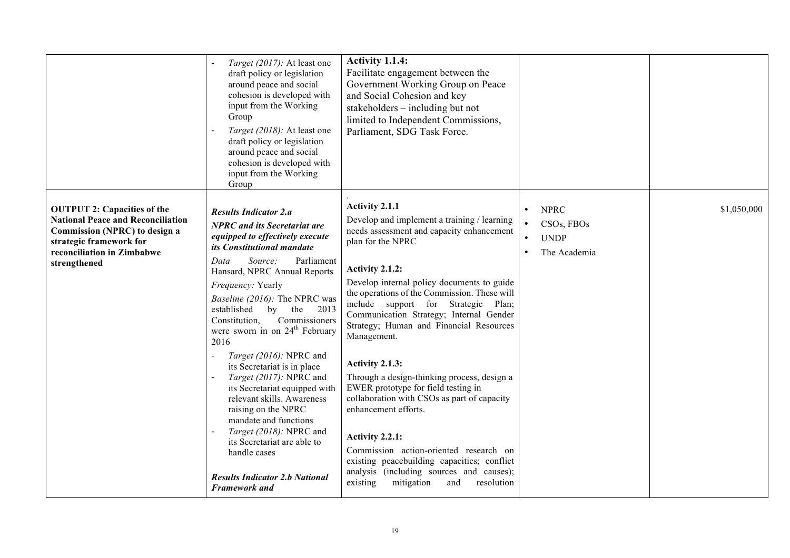|                                                                                                                                                                                          | Target (2017): At least one<br>draft policy or legislation<br>around peace and social<br>cohesion is developed with<br>input from the Working<br>Group<br>Target (2018): At least one<br>draft policy or legislation<br>around peace and social<br>cohesion is developed with<br>input from the Working<br>Group                                                                                                                                                                                                                                                                                                                                                                                                                    | Activity 1.1.4:<br>Facilitate engagement between the<br>Government Working Group on Peace<br>and Social Cohesion and key<br>stakeholders – including but not<br>limited to Independent Commissions,<br>Parliament, SDG Task Force.                                                                                                                                                                                                                                                                                                                                                                                                                                                                                                                                                  |                                                                                                 |             |
|------------------------------------------------------------------------------------------------------------------------------------------------------------------------------------------|-------------------------------------------------------------------------------------------------------------------------------------------------------------------------------------------------------------------------------------------------------------------------------------------------------------------------------------------------------------------------------------------------------------------------------------------------------------------------------------------------------------------------------------------------------------------------------------------------------------------------------------------------------------------------------------------------------------------------------------|-------------------------------------------------------------------------------------------------------------------------------------------------------------------------------------------------------------------------------------------------------------------------------------------------------------------------------------------------------------------------------------------------------------------------------------------------------------------------------------------------------------------------------------------------------------------------------------------------------------------------------------------------------------------------------------------------------------------------------------------------------------------------------------|-------------------------------------------------------------------------------------------------|-------------|
| <b>OUTPUT 2: Capacities of the</b><br><b>National Peace and Reconciliation</b><br>Commission (NPRC) to design a<br>strategic framework for<br>reconciliation in Zimbabwe<br>strengthened | <b>Results Indicator 2.a</b><br><b>NPRC</b> and its Secretariat are<br>equipped to effectively execute<br>its Constitutional mandate<br>Data<br>Source:<br>Parliament<br>Hansard, NPRC Annual Reports<br>Frequency: Yearly<br>Baseline (2016): The NPRC was<br>established<br>by<br>the 2013<br>Commissioners<br>Constitution,<br>were sworn in on 24 <sup>th</sup> February<br>2016<br>Target (2016): NPRC and<br>its Secretariat is in place<br>Target (2017): NPRC and<br>its Secretariat equipped with<br>relevant skills. Awareness<br>raising on the NPRC<br>mandate and functions<br>Target (2018): NPRC and<br>its Secretariat are able to<br>handle cases<br><b>Results Indicator 2.b National</b><br><b>Framework</b> and | Activity 2.1.1<br>Develop and implement a training / learning<br>needs assessment and capacity enhancement<br>plan for the NPRC<br>Activity 2.1.2:<br>Develop internal policy documents to guide<br>the operations of the Commission. These will<br>include support for Strategic Plan;<br>Communication Strategy; Internal Gender<br>Strategy; Human and Financial Resources<br>Management.<br>Activity 2.1.3:<br>Through a design-thinking process, design a<br>EWER prototype for field testing in<br>collaboration with CSOs as part of capacity<br>enhancement efforts.<br>Activity 2.2.1:<br>Commission action-oriented research on<br>existing peacebuilding capacities; conflict<br>analysis (including sources and causes);<br>mitigation<br>existing<br>and<br>resolution | <b>NPRC</b><br>$\bullet$<br>CSOs, FBOs<br><b>UNDP</b><br>$\bullet$<br>The Academia<br>$\bullet$ | \$1,050,000 |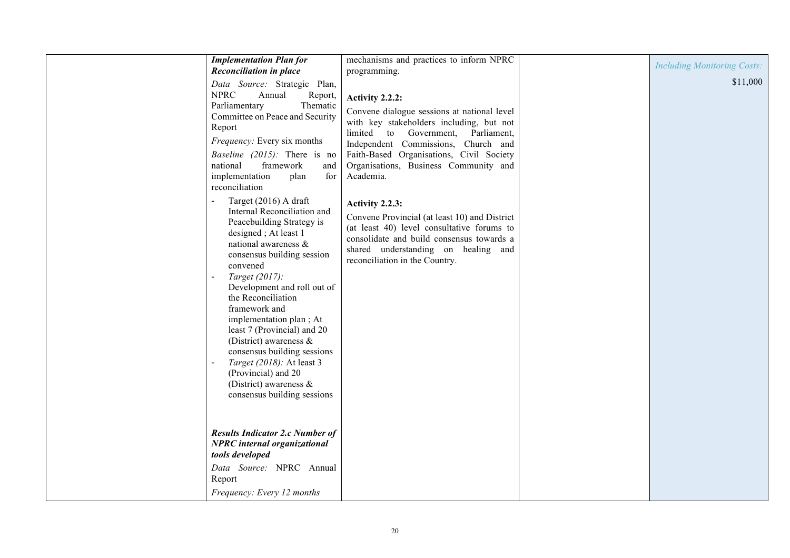| <b>Implementation Plan for</b>                                                                                                                                                                                                                                                                                                                                                                                                                                                                            | mechanisms and practices to inform NPRC                                                                                                                                                                                                                                                   | <b>Including Monitoring Costs:</b> |
|-----------------------------------------------------------------------------------------------------------------------------------------------------------------------------------------------------------------------------------------------------------------------------------------------------------------------------------------------------------------------------------------------------------------------------------------------------------------------------------------------------------|-------------------------------------------------------------------------------------------------------------------------------------------------------------------------------------------------------------------------------------------------------------------------------------------|------------------------------------|
| <b>Reconciliation in place</b>                                                                                                                                                                                                                                                                                                                                                                                                                                                                            | programming.                                                                                                                                                                                                                                                                              |                                    |
| Data Source: Strategic Plan,<br><b>NPRC</b><br>Annual<br>Report,<br>Thematic<br>Parliamentary<br>Committee on Peace and Security<br>Report<br><i>Frequency:</i> Every six months<br><i>Baseline (2015):</i> There is no<br>framework<br>national<br>and<br>implementation<br>plan<br>for<br>reconciliation                                                                                                                                                                                                | Activity 2.2.2:<br>Convene dialogue sessions at national level<br>with key stakeholders including, but not<br>limited to Government, Parliament,<br>Independent Commissions, Church and<br>Faith-Based Organisations, Civil Society<br>Organisations, Business Community and<br>Academia. | \$11,000                           |
| Target (2016) A draft<br>Internal Reconciliation and<br>Peacebuilding Strategy is<br>designed; At least 1<br>national awareness &<br>consensus building session<br>convened<br>Target (2017):<br>Development and roll out of<br>the Reconciliation<br>framework and<br>implementation plan; At<br>least 7 (Provincial) and 20<br>(District) awareness $\&$<br>consensus building sessions<br>Target (2018): At least 3<br>(Provincial) and 20<br>(District) awareness $\&$<br>consensus building sessions | Activity 2.2.3:<br>Convene Provincial (at least 10) and District<br>(at least 40) level consultative forums to<br>consolidate and build consensus towards a<br>shared understanding on healing and<br>reconciliation in the Country.                                                      |                                    |
| <b>Results Indicator 2.c Number of</b><br><b>NPRC</b> internal organizational<br>tools developed                                                                                                                                                                                                                                                                                                                                                                                                          |                                                                                                                                                                                                                                                                                           |                                    |
| Data Source: NPRC Annual<br>Report                                                                                                                                                                                                                                                                                                                                                                                                                                                                        |                                                                                                                                                                                                                                                                                           |                                    |
| Frequency: Every 12 months                                                                                                                                                                                                                                                                                                                                                                                                                                                                                |                                                                                                                                                                                                                                                                                           |                                    |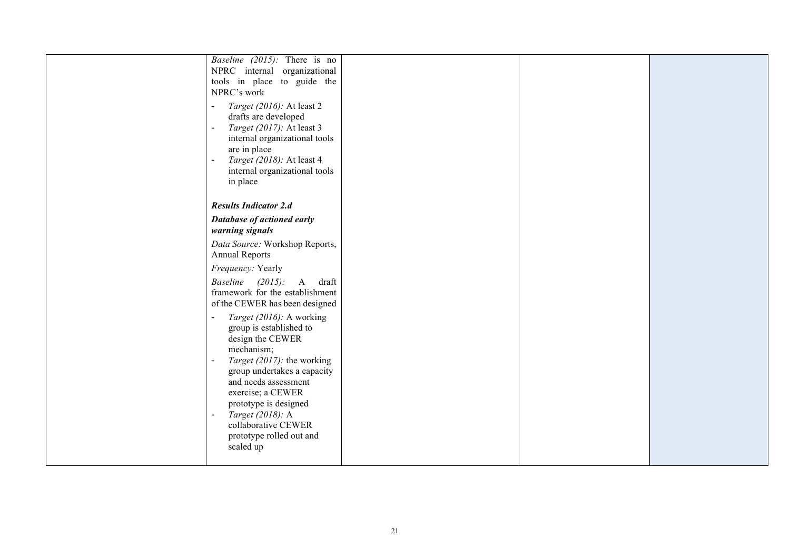| <i>Baseline (2015):</i> There is no         |  |  |
|---------------------------------------------|--|--|
| NPRC internal organizational                |  |  |
| tools in place to guide the                 |  |  |
| NPRC's work                                 |  |  |
| Target (2016): At least 2<br>$\blacksquare$ |  |  |
| drafts are developed                        |  |  |
| Target (2017): At least 3<br>$\blacksquare$ |  |  |
| internal organizational tools               |  |  |
| are in place                                |  |  |
| Target (2018): At least 4<br>$\blacksquare$ |  |  |
| internal organizational tools               |  |  |
| in place                                    |  |  |
|                                             |  |  |
| <b>Results Indicator 2.d</b>                |  |  |
|                                             |  |  |
| Database of actioned early                  |  |  |
| warning signals                             |  |  |
| Data Source: Workshop Reports,              |  |  |
| <b>Annual Reports</b>                       |  |  |
| Frequency: Yearly                           |  |  |
| Baseline $(2015)$ :<br>A<br>draft           |  |  |
| framework for the establishment             |  |  |
| of the CEWER has been designed              |  |  |
| Target (2016): A working<br>$\blacksquare$  |  |  |
| group is established to                     |  |  |
| design the CEWER                            |  |  |
| mechanism;                                  |  |  |
| Target (2017): the working                  |  |  |
| group undertakes a capacity                 |  |  |
| and needs assessment                        |  |  |
| exercise; a CEWER                           |  |  |
| prototype is designed                       |  |  |
| Target (2018): A<br>$\blacksquare$          |  |  |
| collaborative CEWER                         |  |  |
| prototype rolled out and                    |  |  |
| scaled up                                   |  |  |
|                                             |  |  |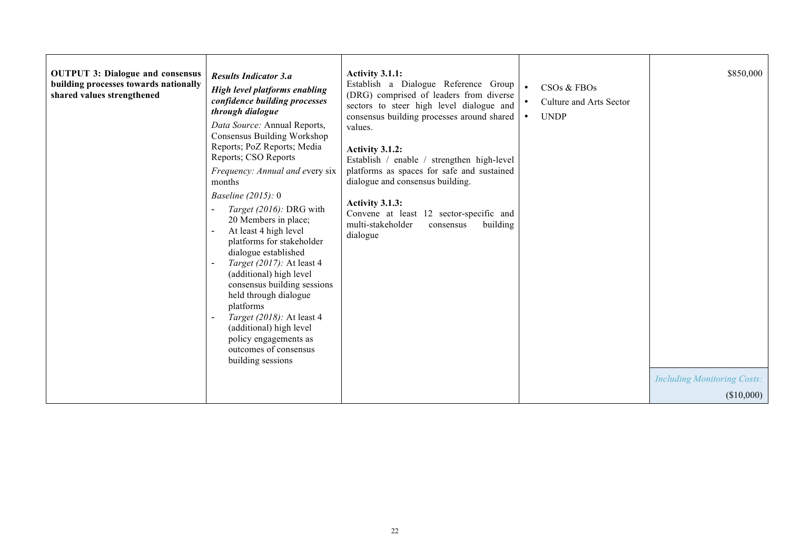| <b>OUTPUT 3: Dialogue and consensus</b><br>building processes towards nationally<br>shared values strengthened | <b>Results Indicator 3.a</b><br>High level platforms enabling<br>confidence building processes<br>through dialogue<br>Data Source: Annual Reports,<br>Consensus Building Workshop<br>Reports; PoZ Reports; Media<br>Reports; CSO Reports<br>Frequency: Annual and every six<br>months<br>Baseline $(2015): 0$<br>Target (2016): DRG with<br>20 Members in place;<br>At least 4 high level<br>platforms for stakeholder<br>dialogue established<br>Target (2017): At least 4<br>(additional) high level<br>consensus building sessions<br>held through dialogue<br>platforms<br>Target (2018): At least 4<br>(additional) high level<br>policy engagements as<br>outcomes of consensus<br>building sessions | Activity 3.1.1:<br>Establish a Dialogue Reference Group<br>(DRG) comprised of leaders from diverse<br>sectors to steer high level dialogue and<br>consensus building processes around shared<br>values.<br>Activity 3.1.2:<br>Establish / enable / strengthen high-level<br>platforms as spaces for safe and sustained<br>dialogue and consensus building.<br>Activity 3.1.3:<br>Convene at least 12 sector-specific and<br>multi-stakeholder<br>building<br>consensus<br>dialogue | $\bullet$<br>CSOs & FBOs<br>Culture and Arts Sector<br>$\bullet$<br><b>UNDP</b><br>$\bullet$ | \$850,000<br><b>Including Monitoring Costs:</b> |
|----------------------------------------------------------------------------------------------------------------|------------------------------------------------------------------------------------------------------------------------------------------------------------------------------------------------------------------------------------------------------------------------------------------------------------------------------------------------------------------------------------------------------------------------------------------------------------------------------------------------------------------------------------------------------------------------------------------------------------------------------------------------------------------------------------------------------------|------------------------------------------------------------------------------------------------------------------------------------------------------------------------------------------------------------------------------------------------------------------------------------------------------------------------------------------------------------------------------------------------------------------------------------------------------------------------------------|----------------------------------------------------------------------------------------------|-------------------------------------------------|
|                                                                                                                |                                                                                                                                                                                                                                                                                                                                                                                                                                                                                                                                                                                                                                                                                                            |                                                                                                                                                                                                                                                                                                                                                                                                                                                                                    |                                                                                              | (\$10,000)                                      |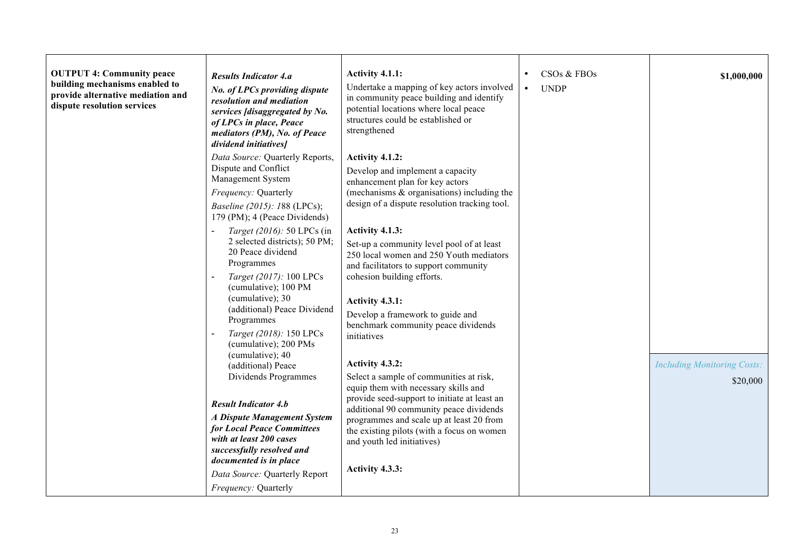| <b>OUTPUT 4: Community peace</b><br>building mechanisms enabled to<br>provide alternative mediation and<br>dispute resolution services | <b>Results Indicator 4.a</b><br>No. of LPCs providing dispute<br>resolution and mediation<br>services [disaggregated by No.<br>of LPCs in place, Peace<br>mediators (PM), No. of Peace<br>dividend initiatives]                                                                                                                          | Activity 4.1.1:<br>Undertake a mapping of key actors involved<br>in community peace building and identify<br>potential locations where local peace<br>structures could be established or<br>strengthened                                                                                                                                                                                          | CSOs & FBOs<br>$\bullet$<br><b>UNDP</b><br>$\bullet$ | \$1,000,000                                    |
|----------------------------------------------------------------------------------------------------------------------------------------|------------------------------------------------------------------------------------------------------------------------------------------------------------------------------------------------------------------------------------------------------------------------------------------------------------------------------------------|---------------------------------------------------------------------------------------------------------------------------------------------------------------------------------------------------------------------------------------------------------------------------------------------------------------------------------------------------------------------------------------------------|------------------------------------------------------|------------------------------------------------|
|                                                                                                                                        | Data Source: Quarterly Reports,<br>Dispute and Conflict<br>Management System<br>Frequency: Quarterly<br><i>Baseline (2015): 188 (LPCs);</i><br>179 (PM); 4 (Peace Dividends)                                                                                                                                                             | Activity 4.1.2:<br>Develop and implement a capacity<br>enhancement plan for key actors<br>(mechanisms $\&$ organisations) including the<br>design of a dispute resolution tracking tool.                                                                                                                                                                                                          |                                                      |                                                |
|                                                                                                                                        | Target (2016): 50 LPCs (in<br>2 selected districts); 50 PM;<br>20 Peace dividend<br>Programmes<br>Target (2017): 100 LPCs<br>(cumulative); 100 PM<br>(cumulative); 30<br>(additional) Peace Dividend<br>Programmes<br>Target (2018): 150 LPCs<br>(cumulative); 200 PMs<br>(cumulative); 40<br>(additional) Peace<br>Dividends Programmes | Activity 4.1.3:<br>Set-up a community level pool of at least<br>250 local women and 250 Youth mediators<br>and facilitators to support community<br>cohesion building efforts.<br>Activity 4.3.1:<br>Develop a framework to guide and<br>benchmark community peace dividends<br>initiatives<br>Activity 4.3.2:<br>Select a sample of communities at risk,<br>equip them with necessary skills and |                                                      | <b>Including Monitoring Costs:</b><br>\$20,000 |
|                                                                                                                                        | <b>Result Indicator 4.b</b><br><b>A Dispute Management System</b><br>for Local Peace Committees<br>with at least 200 cases<br>successfully resolved and<br>documented is in place<br>Data Source: Quarterly Report<br>Frequency: Quarterly                                                                                               | provide seed-support to initiate at least an<br>additional 90 community peace dividends<br>programmes and scale up at least 20 from<br>the existing pilots (with a focus on women<br>and youth led initiatives)<br>Activity 4.3.3:                                                                                                                                                                |                                                      |                                                |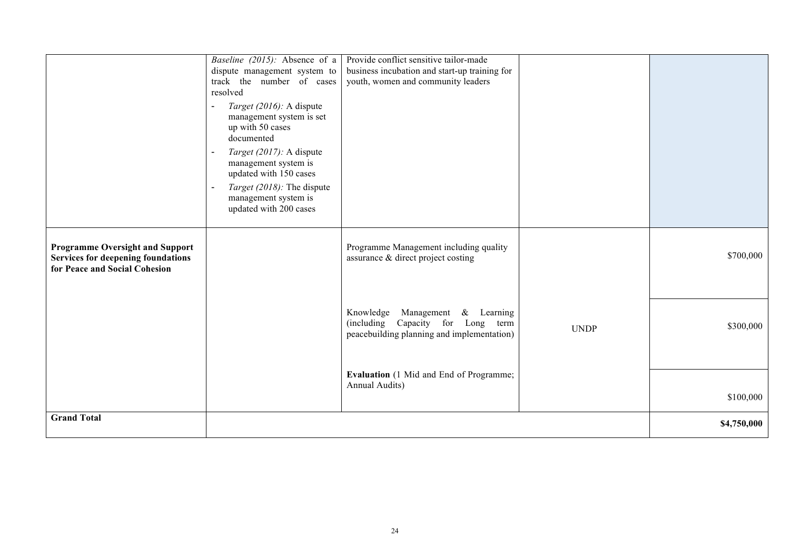|                                                                                                               | Baseline (2015): Absence of a<br>dispute management system to<br>track the number of cases<br>resolved<br>Target (2016): A dispute<br>$\blacksquare$<br>management system is set<br>up with 50 cases<br>documented<br>Target (2017): A dispute<br>management system is<br>updated with 150 cases<br>Target (2018): The dispute<br>$\sim$<br>management system is<br>updated with 200 cases | Provide conflict sensitive tailor-made<br>business incubation and start-up training for<br>youth, women and community leaders |             |             |
|---------------------------------------------------------------------------------------------------------------|--------------------------------------------------------------------------------------------------------------------------------------------------------------------------------------------------------------------------------------------------------------------------------------------------------------------------------------------------------------------------------------------|-------------------------------------------------------------------------------------------------------------------------------|-------------|-------------|
| <b>Programme Oversight and Support</b><br>Services for deepening foundations<br>for Peace and Social Cohesion |                                                                                                                                                                                                                                                                                                                                                                                            | Programme Management including quality<br>assurance & direct project costing                                                  |             | \$700,000   |
|                                                                                                               |                                                                                                                                                                                                                                                                                                                                                                                            | Management<br>Knowledge<br>$&$ Learning<br>(including Capacity for Long term<br>peacebuilding planning and implementation)    | <b>UNDP</b> | \$300,000   |
|                                                                                                               |                                                                                                                                                                                                                                                                                                                                                                                            | Evaluation (1 Mid and End of Programme;<br>Annual Audits)                                                                     |             | \$100,000   |
| <b>Grand Total</b>                                                                                            |                                                                                                                                                                                                                                                                                                                                                                                            |                                                                                                                               |             | \$4,750,000 |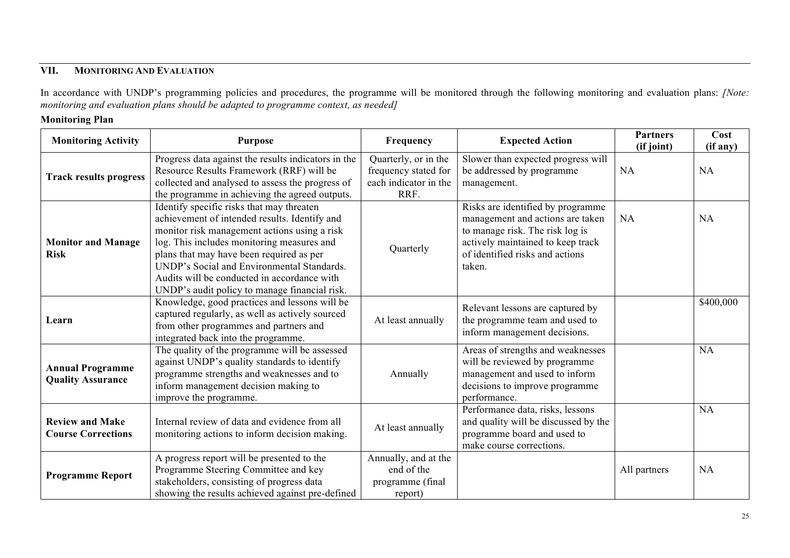# **VII. MONITORING AND EVALUATION**

In accordance with UNDP's programming policies and procedures, the programme will be monitored through the following monitoring and evaluation plans: *[Note: monitoring and evaluation plans should be adapted to programme context, as needed]*

### **Monitoring Plan**

| <b>Monitoring Activity</b>                          | <b>Purpose</b>                                                                                                                                                                                                                                                                                                                                                                     | Frequency                                                                     | <b>Expected Action</b>                                                                                                                                                                     | <b>Partners</b><br>(if joint) | Cost<br>(if any) |
|-----------------------------------------------------|------------------------------------------------------------------------------------------------------------------------------------------------------------------------------------------------------------------------------------------------------------------------------------------------------------------------------------------------------------------------------------|-------------------------------------------------------------------------------|--------------------------------------------------------------------------------------------------------------------------------------------------------------------------------------------|-------------------------------|------------------|
| <b>Track results progress</b>                       | Progress data against the results indicators in the<br>Resource Results Framework (RRF) will be<br>collected and analysed to assess the progress of<br>the programme in achieving the agreed outputs.                                                                                                                                                                              | Quarterly, or in the<br>frequency stated for<br>each indicator in the<br>RRF. | Slower than expected progress will<br>be addressed by programme<br>management.                                                                                                             | NA                            | NA               |
| <b>Monitor and Manage</b><br><b>Risk</b>            | Identify specific risks that may threaten<br>achievement of intended results. Identify and<br>monitor risk management actions using a risk<br>log. This includes monitoring measures and<br>plans that may have been required as per<br>UNDP's Social and Environmental Standards.<br>Audits will be conducted in accordance with<br>UNDP's audit policy to manage financial risk. | Quarterly                                                                     | Risks are identified by programme<br>management and actions are taken<br>to manage risk. The risk log is<br>actively maintained to keep track<br>of identified risks and actions<br>taken. | <b>NA</b>                     | <b>NA</b>        |
| Learn                                               | Knowledge, good practices and lessons will be<br>captured regularly, as well as actively sourced<br>from other programmes and partners and<br>integrated back into the programme.                                                                                                                                                                                                  | At least annually                                                             | Relevant lessons are captured by<br>the programme team and used to<br>inform management decisions.                                                                                         |                               | \$400,000        |
| <b>Annual Programme</b><br><b>Quality Assurance</b> | The quality of the programme will be assessed<br>against UNDP's quality standards to identify<br>programme strengths and weaknesses and to<br>inform management decision making to<br>improve the programme.                                                                                                                                                                       | Annually                                                                      | Areas of strengths and weaknesses<br>will be reviewed by programme<br>management and used to inform<br>decisions to improve programme<br>performance.                                      |                               | <b>NA</b>        |
| <b>Review and Make</b><br><b>Course Corrections</b> | Internal review of data and evidence from all<br>monitoring actions to inform decision making.                                                                                                                                                                                                                                                                                     | At least annually                                                             | Performance data, risks, lessons<br>and quality will be discussed by the<br>programme board and used to<br>make course corrections.                                                        |                               | <b>NA</b>        |
| <b>Programme Report</b>                             | A progress report will be presented to the<br>Programme Steering Committee and key<br>stakeholders, consisting of progress data<br>showing the results achieved against pre-defined                                                                                                                                                                                                | Annually, and at the<br>end of the<br>programme (final<br>report)             |                                                                                                                                                                                            | All partners                  | <b>NA</b>        |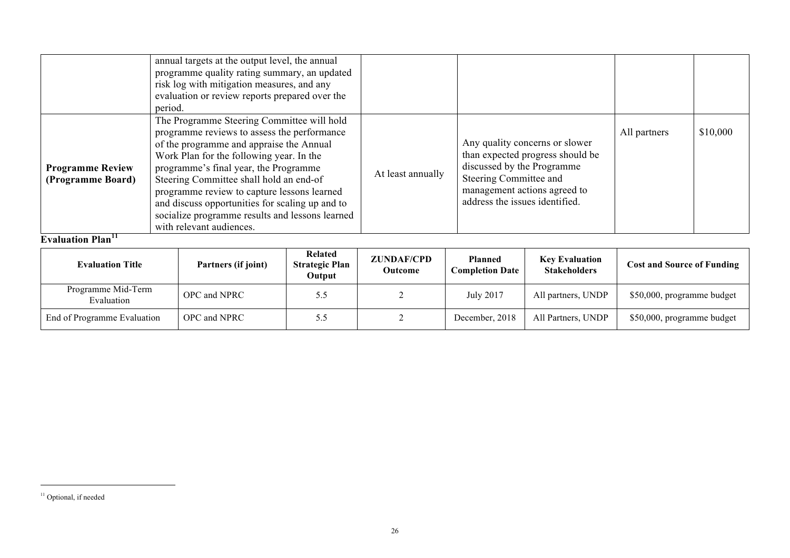|                                                   | annual targets at the output level, the annual<br>programme quality rating summary, an updated<br>risk log with mitigation measures, and any<br>evaluation or review reports prepared over the<br>period.                                                                                                                                                                                                                                              |                   |                                                                                                                                                                                              |              |          |
|---------------------------------------------------|--------------------------------------------------------------------------------------------------------------------------------------------------------------------------------------------------------------------------------------------------------------------------------------------------------------------------------------------------------------------------------------------------------------------------------------------------------|-------------------|----------------------------------------------------------------------------------------------------------------------------------------------------------------------------------------------|--------------|----------|
| <b>Programme Review</b><br>(Programme Board)<br>. | The Programme Steering Committee will hold<br>programme reviews to assess the performance<br>of the programme and appraise the Annual<br>Work Plan for the following year. In the<br>programme's final year, the Programme<br>Steering Committee shall hold an end-of<br>programme review to capture lessons learned<br>and discuss opportunities for scaling up and to<br>socialize programme results and lessons learned<br>with relevant audiences. | At least annually | Any quality concerns or slower<br>than expected progress should be<br>discussed by the Programme<br>Steering Committee and<br>management actions agreed to<br>address the issues identified. | All partners | \$10,000 |

**Evaluation Plan** 

| <b>Evaluation Title</b>          | Partners (if joint) | Related<br><b>Strategic Plan</b><br>Output | <b>ZUNDAF/CPD</b><br>Outcome | <b>Planned</b><br><b>Completion Date</b> | <b>Key Evaluation</b><br><b>Stakeholders</b> | <b>Cost and Source of Funding</b> |
|----------------------------------|---------------------|--------------------------------------------|------------------------------|------------------------------------------|----------------------------------------------|-----------------------------------|
| Programme Mid-Term<br>Evaluation | OPC and NPRC        | 5.5                                        |                              | July 2017                                | All partners, UNDP                           | \$50,000, programme budget        |
| End of Programme Evaluation      | OPC and NPRC        |                                            |                              | December, 2018                           | All Partners, UNDP                           | \$50,000, programme budget        |

 $\overline{a}$ 

<sup>&</sup>lt;sup>11</sup> Optional, if needed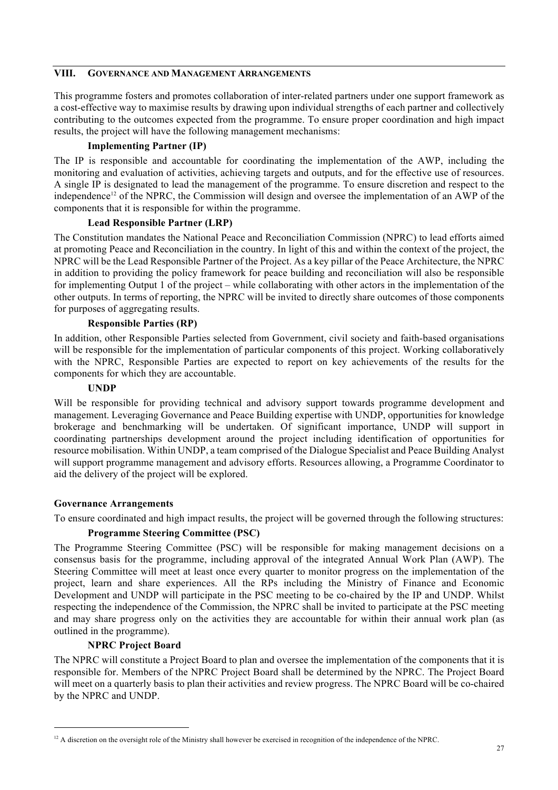#### **VIII. GOVERNANCE AND MANAGEMENT ARRANGEMENTS**

This programme fosters and promotes collaboration of inter-related partners under one support framework as a cost-effective way to maximise results by drawing upon individual strengths of each partner and collectively contributing to the outcomes expected from the programme. To ensure proper coordination and high impact results, the project will have the following management mechanisms:

### **Implementing Partner (IP)**

The IP is responsible and accountable for coordinating the implementation of the AWP, including the monitoring and evaluation of activities, achieving targets and outputs, and for the effective use of resources. A single IP is designated to lead the management of the programme. To ensure discretion and respect to the independence<sup>12</sup> of the NPRC, the Commission will design and oversee the implementation of an AWP of the components that it is responsible for within the programme.

### **Lead Responsible Partner (LRP)**

The Constitution mandates the National Peace and Reconciliation Commission (NPRC) to lead efforts aimed at promoting Peace and Reconciliation in the country. In light of this and within the context of the project, the NPRC will be the Lead Responsible Partner of the Project. As a key pillar of the Peace Architecture, the NPRC in addition to providing the policy framework for peace building and reconciliation will also be responsible for implementing Output 1 of the project – while collaborating with other actors in the implementation of the other outputs. In terms of reporting, the NPRC will be invited to directly share outcomes of those components for purposes of aggregating results.

### **Responsible Parties (RP)**

In addition, other Responsible Parties selected from Government, civil society and faith-based organisations will be responsible for the implementation of particular components of this project. Working collaboratively with the NPRC, Responsible Parties are expected to report on key achievements of the results for the components for which they are accountable.

### **UNDP**

Will be responsible for providing technical and advisory support towards programme development and management. Leveraging Governance and Peace Building expertise with UNDP, opportunities for knowledge brokerage and benchmarking will be undertaken. Of significant importance, UNDP will support in coordinating partnerships development around the project including identification of opportunities for resource mobilisation. Within UNDP, a team comprised of the Dialogue Specialist and Peace Building Analyst will support programme management and advisory efforts. Resources allowing, a Programme Coordinator to aid the delivery of the project will be explored.

#### **Governance Arrangements**

To ensure coordinated and high impact results, the project will be governed through the following structures:

#### **Programme Steering Committee (PSC)**

The Programme Steering Committee (PSC) will be responsible for making management decisions on a consensus basis for the programme, including approval of the integrated Annual Work Plan (AWP). The Steering Committee will meet at least once every quarter to monitor progress on the implementation of the project, learn and share experiences. All the RPs including the Ministry of Finance and Economic Development and UNDP will participate in the PSC meeting to be co-chaired by the IP and UNDP. Whilst respecting the independence of the Commission, the NPRC shall be invited to participate at the PSC meeting and may share progress only on the activities they are accountable for within their annual work plan (as outlined in the programme).

#### **NPRC Project Board**

The NPRC will constitute a Project Board to plan and oversee the implementation of the components that it is responsible for. Members of the NPRC Project Board shall be determined by the NPRC. The Project Board will meet on a quarterly basis to plan their activities and review progress. The NPRC Board will be co-chaired by the NPRC and UNDP.

 $12$  A discretion on the oversight role of the Ministry shall however be exercised in recognition of the independence of the NPRC.